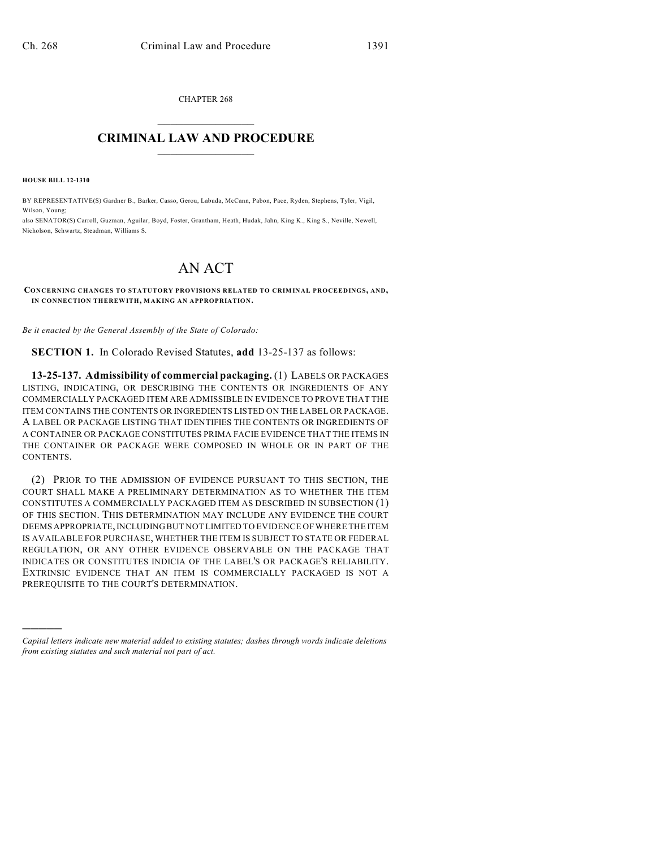CHAPTER 268  $\mathcal{L}_\text{max}$  . The set of the set of the set of the set of the set of the set of the set of the set of the set of the set of the set of the set of the set of the set of the set of the set of the set of the set of the set

## **CRIMINAL LAW AND PROCEDURE**  $\frac{1}{2}$  ,  $\frac{1}{2}$  ,  $\frac{1}{2}$  ,  $\frac{1}{2}$  ,  $\frac{1}{2}$  ,  $\frac{1}{2}$  ,  $\frac{1}{2}$

**HOUSE BILL 12-1310**

)))))

BY REPRESENTATIVE(S) Gardner B., Barker, Casso, Gerou, Labuda, McCann, Pabon, Pace, Ryden, Stephens, Tyler, Vigil, Wilson, Young;

also SENATOR(S) Carroll, Guzman, Aguilar, Boyd, Foster, Grantham, Heath, Hudak, Jahn, King K., King S., Neville, Newell, Nicholson, Schwartz, Steadman, Williams S.

# AN ACT

#### **CONCERNING CHANGES TO STATUTORY PROVISIONS RELATED TO CRIMINAL PROCEEDINGS, AND, IN CONNECTION THEREWITH, MAKING AN APPROPRIATION.**

*Be it enacted by the General Assembly of the State of Colorado:*

**SECTION 1.** In Colorado Revised Statutes, **add** 13-25-137 as follows:

**13-25-137. Admissibility of commercial packaging.** (1) LABELS OR PACKAGES LISTING, INDICATING, OR DESCRIBING THE CONTENTS OR INGREDIENTS OF ANY COMMERCIALLY PACKAGED ITEM ARE ADMISSIBLE IN EVIDENCE TO PROVE THAT THE ITEM CONTAINS THE CONTENTS OR INGREDIENTS LISTED ON THE LABEL OR PACKAGE. A LABEL OR PACKAGE LISTING THAT IDENTIFIES THE CONTENTS OR INGREDIENTS OF A CONTAINER OR PACKAGE CONSTITUTES PRIMA FACIE EVIDENCE THAT THE ITEMS IN THE CONTAINER OR PACKAGE WERE COMPOSED IN WHOLE OR IN PART OF THE CONTENTS.

(2) PRIOR TO THE ADMISSION OF EVIDENCE PURSUANT TO THIS SECTION, THE COURT SHALL MAKE A PRELIMINARY DETERMINATION AS TO WHETHER THE ITEM CONSTITUTES A COMMERCIALLY PACKAGED ITEM AS DESCRIBED IN SUBSECTION (1) OF THIS SECTION. THIS DETERMINATION MAY INCLUDE ANY EVIDENCE THE COURT DEEMS APPROPRIATE, INCLUDING BUT NOT LIMITED TO EVIDENCE OF WHERE THE ITEM IS AVAILABLE FOR PURCHASE, WHETHER THE ITEM IS SUBJECT TO STATE OR FEDERAL REGULATION, OR ANY OTHER EVIDENCE OBSERVABLE ON THE PACKAGE THAT INDICATES OR CONSTITUTES INDICIA OF THE LABEL'S OR PACKAGE'S RELIABILITY. EXTRINSIC EVIDENCE THAT AN ITEM IS COMMERCIALLY PACKAGED IS NOT A PREREQUISITE TO THE COURT'S DETERMINATION.

*Capital letters indicate new material added to existing statutes; dashes through words indicate deletions from existing statutes and such material not part of act.*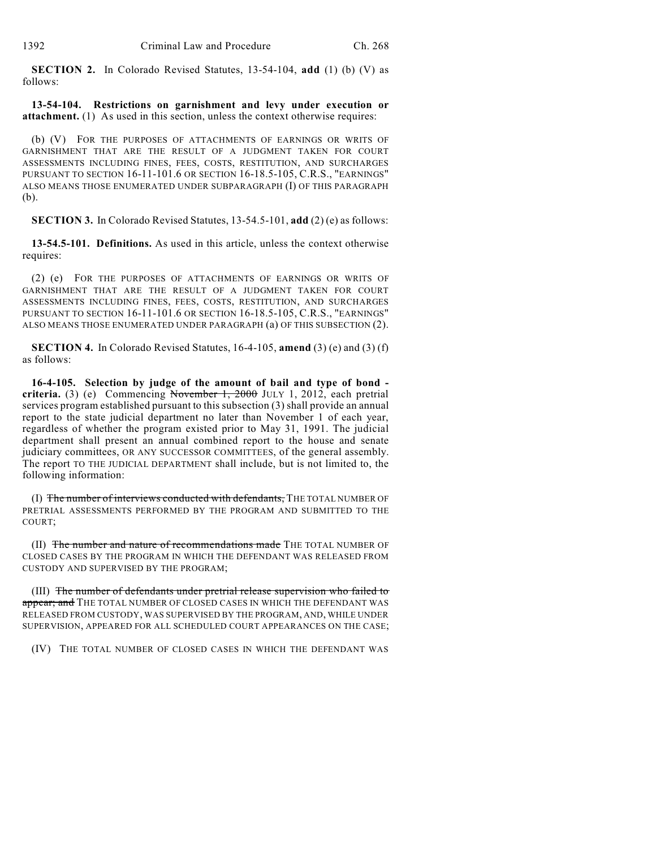**SECTION 2.** In Colorado Revised Statutes, 13-54-104, **add** (1) (b) (V) as follows:

**13-54-104. Restrictions on garnishment and levy under execution or attachment.** (1) As used in this section, unless the context otherwise requires:

(b) (V) FOR THE PURPOSES OF ATTACHMENTS OF EARNINGS OR WRITS OF GARNISHMENT THAT ARE THE RESULT OF A JUDGMENT TAKEN FOR COURT ASSESSMENTS INCLUDING FINES, FEES, COSTS, RESTITUTION, AND SURCHARGES PURSUANT TO SECTION 16-11-101.6 OR SECTION 16-18.5-105, C.R.S., "EARNINGS" ALSO MEANS THOSE ENUMERATED UNDER SUBPARAGRAPH (I) OF THIS PARAGRAPH (b).

**SECTION 3.** In Colorado Revised Statutes, 13-54.5-101, **add** (2) (e) as follows:

**13-54.5-101. Definitions.** As used in this article, unless the context otherwise requires:

(2) (e) FOR THE PURPOSES OF ATTACHMENTS OF EARNINGS OR WRITS OF GARNISHMENT THAT ARE THE RESULT OF A JUDGMENT TAKEN FOR COURT ASSESSMENTS INCLUDING FINES, FEES, COSTS, RESTITUTION, AND SURCHARGES PURSUANT TO SECTION 16-11-101.6 OR SECTION 16-18.5-105, C.R.S., "EARNINGS" ALSO MEANS THOSE ENUMERATED UNDER PARAGRAPH (a) OF THIS SUBSECTION (2).

**SECTION 4.** In Colorado Revised Statutes, 16-4-105, **amend** (3) (e) and (3) (f) as follows:

**16-4-105. Selection by judge of the amount of bail and type of bond criteria.** (3) (e) Commencing November 1, 2000 JULY 1, 2012, each pretrial services program established pursuant to this subsection (3) shall provide an annual report to the state judicial department no later than November 1 of each year, regardless of whether the program existed prior to May 31, 1991. The judicial department shall present an annual combined report to the house and senate judiciary committees, OR ANY SUCCESSOR COMMITTEES, of the general assembly. The report TO THE JUDICIAL DEPARTMENT shall include, but is not limited to, the following information:

(I) The number of interviews conducted with defendants, THE TOTAL NUMBER OF PRETRIAL ASSESSMENTS PERFORMED BY THE PROGRAM AND SUBMITTED TO THE COURT;

(II) The number and nature of recommendations made THE TOTAL NUMBER OF CLOSED CASES BY THE PROGRAM IN WHICH THE DEFENDANT WAS RELEASED FROM CUSTODY AND SUPERVISED BY THE PROGRAM;

(III) The number of defendants under pretrial release supervision who failed to appear; and THE TOTAL NUMBER OF CLOSED CASES IN WHICH THE DEFENDANT WAS RELEASED FROM CUSTODY, WAS SUPERVISED BY THE PROGRAM, AND, WHILE UNDER SUPERVISION, APPEARED FOR ALL SCHEDULED COURT APPEARANCES ON THE CASE;

(IV) THE TOTAL NUMBER OF CLOSED CASES IN WHICH THE DEFENDANT WAS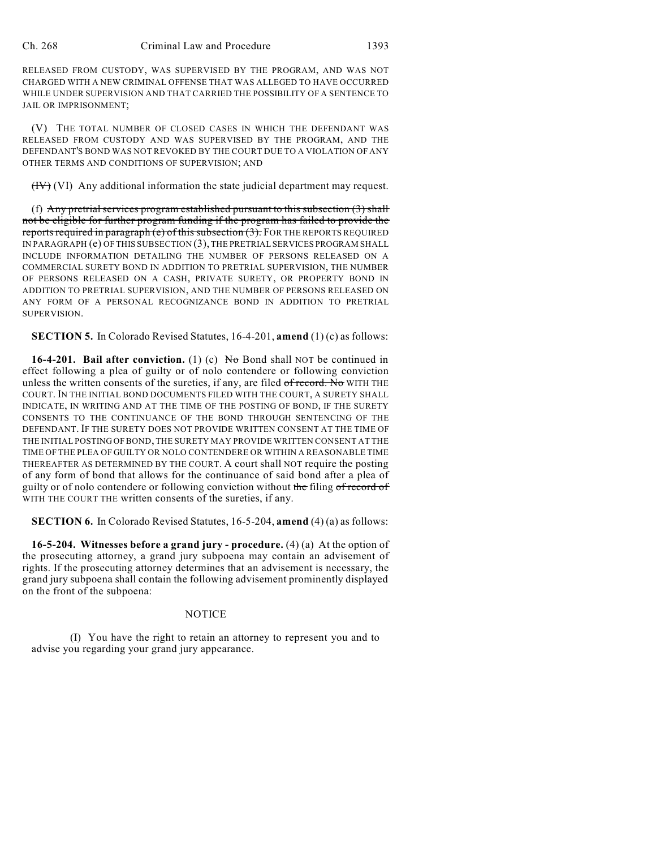RELEASED FROM CUSTODY, WAS SUPERVISED BY THE PROGRAM, AND WAS NOT CHARGED WITH A NEW CRIMINAL OFFENSE THAT WAS ALLEGED TO HAVE OCCURRED WHILE UNDER SUPERVISION AND THAT CARRIED THE POSSIBILITY OF A SENTENCE TO JAIL OR IMPRISONMENT;

(V) THE TOTAL NUMBER OF CLOSED CASES IN WHICH THE DEFENDANT WAS RELEASED FROM CUSTODY AND WAS SUPERVISED BY THE PROGRAM, AND THE DEFENDANT'S BOND WAS NOT REVOKED BY THE COURT DUE TO A VIOLATION OF ANY OTHER TERMS AND CONDITIONS OF SUPERVISION; AND

(IV) (VI) Any additional information the state judicial department may request.

(f) Any pretrial services program established pursuant to this subsection  $(3)$  shall not be eligible for further program funding if the program has failed to provide the reports required in paragraph (e) of this subsection (3). FOR THE REPORTS REQUIRED IN PARAGRAPH (e) OF THIS SUBSECTION (3), THE PRETRIAL SERVICES PROGRAM SHALL INCLUDE INFORMATION DETAILING THE NUMBER OF PERSONS RELEASED ON A COMMERCIAL SURETY BOND IN ADDITION TO PRETRIAL SUPERVISION, THE NUMBER OF PERSONS RELEASED ON A CASH, PRIVATE SURETY, OR PROPERTY BOND IN ADDITION TO PRETRIAL SUPERVISION, AND THE NUMBER OF PERSONS RELEASED ON ANY FORM OF A PERSONAL RECOGNIZANCE BOND IN ADDITION TO PRETRIAL SUPERVISION.

**SECTION 5.** In Colorado Revised Statutes, 16-4-201, **amend** (1) (c) as follows:

**16-4-201. Bail after conviction.** (1) (c)  $N\sigma$  Bond shall NOT be continued in effect following a plea of guilty or of nolo contendere or following conviction unless the written consents of the sureties, if any, are filed of record. No WITH THE COURT. IN THE INITIAL BOND DOCUMENTS FILED WITH THE COURT, A SURETY SHALL INDICATE, IN WRITING AND AT THE TIME OF THE POSTING OF BOND, IF THE SURETY CONSENTS TO THE CONTINUANCE OF THE BOND THROUGH SENTENCING OF THE DEFENDANT. IF THE SURETY DOES NOT PROVIDE WRITTEN CONSENT AT THE TIME OF THE INITIAL POSTING OF BOND, THE SURETY MAY PROVIDE WRITTEN CONSENT AT THE TIME OF THE PLEA OF GUILTY OR NOLO CONTENDERE OR WITHIN A REASONABLE TIME THEREAFTER AS DETERMINED BY THE COURT. A court shall NOT require the posting of any form of bond that allows for the continuance of said bond after a plea of guilty or of nolo contendere or following conviction without the filing of record of WITH THE COURT THE written consents of the sureties, if any.

**SECTION 6.** In Colorado Revised Statutes, 16-5-204, **amend** (4) (a) as follows:

**16-5-204. Witnesses before a grand jury - procedure.** (4) (a) At the option of the prosecuting attorney, a grand jury subpoena may contain an advisement of rights. If the prosecuting attorney determines that an advisement is necessary, the grand jury subpoena shall contain the following advisement prominently displayed on the front of the subpoena:

#### NOTICE

(I) You have the right to retain an attorney to represent you and to advise you regarding your grand jury appearance.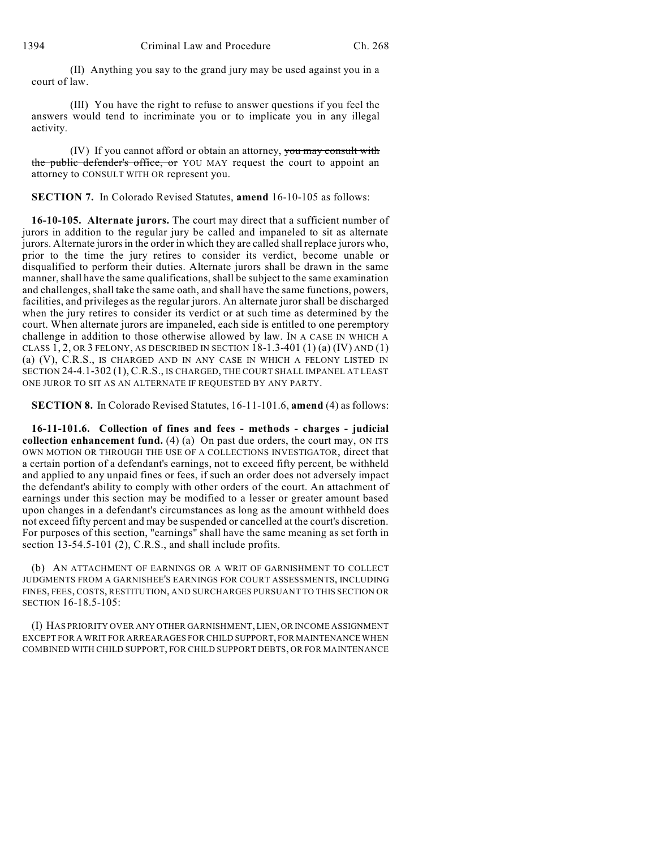(II) Anything you say to the grand jury may be used against you in a court of law.

(III) You have the right to refuse to answer questions if you feel the answers would tend to incriminate you or to implicate you in any illegal activity.

(IV) If you cannot afford or obtain an attorney, you may consult with the public defender's office, or YOU MAY request the court to appoint an attorney to CONSULT WITH OR represent you.

**SECTION 7.** In Colorado Revised Statutes, **amend** 16-10-105 as follows:

**16-10-105. Alternate jurors.** The court may direct that a sufficient number of jurors in addition to the regular jury be called and impaneled to sit as alternate jurors. Alternate jurors in the order in which they are called shall replace jurors who, prior to the time the jury retires to consider its verdict, become unable or disqualified to perform their duties. Alternate jurors shall be drawn in the same manner, shall have the same qualifications, shall be subject to the same examination and challenges, shall take the same oath, and shall have the same functions, powers, facilities, and privileges as the regular jurors. An alternate juror shall be discharged when the jury retires to consider its verdict or at such time as determined by the court. When alternate jurors are impaneled, each side is entitled to one peremptory challenge in addition to those otherwise allowed by law. IN A CASE IN WHICH A CLASS  $1, 2$ , OR 3 FELONY, AS DESCRIBED IN SECTION  $18-1.3-401$  (1) (a) (IV) AND (1) (a) (V), C.R.S., IS CHARGED AND IN ANY CASE IN WHICH A FELONY LISTED IN SECTION 24-4.1-302 (1), C.R.S., IS CHARGED, THE COURT SHALL IMPANEL AT LEAST ONE JUROR TO SIT AS AN ALTERNATE IF REQUESTED BY ANY PARTY.

**SECTION 8.** In Colorado Revised Statutes, 16-11-101.6, **amend** (4) as follows:

**16-11-101.6. Collection of fines and fees - methods - charges - judicial collection enhancement fund.** (4) (a) On past due orders, the court may, ON ITS OWN MOTION OR THROUGH THE USE OF A COLLECTIONS INVESTIGATOR, direct that a certain portion of a defendant's earnings, not to exceed fifty percent, be withheld and applied to any unpaid fines or fees, if such an order does not adversely impact the defendant's ability to comply with other orders of the court. An attachment of earnings under this section may be modified to a lesser or greater amount based upon changes in a defendant's circumstances as long as the amount withheld does not exceed fifty percent and may be suspended or cancelled at the court's discretion. For purposes of this section, "earnings" shall have the same meaning as set forth in section 13-54.5-101 (2), C.R.S., and shall include profits.

(b) AN ATTACHMENT OF EARNINGS OR A WRIT OF GARNISHMENT TO COLLECT JUDGMENTS FROM A GARNISHEE'S EARNINGS FOR COURT ASSESSMENTS, INCLUDING FINES, FEES, COSTS, RESTITUTION, AND SURCHARGES PURSUANT TO THIS SECTION OR SECTION 16-18.5-105:

(I) HAS PRIORITY OVER ANY OTHER GARNISHMENT, LIEN, OR INCOME ASSIGNMENT EXCEPT FOR A WRIT FOR ARREARAGES FOR CHILD SUPPORT, FOR MAINTENANCE WHEN COMBINED WITH CHILD SUPPORT, FOR CHILD SUPPORT DEBTS, OR FOR MAINTENANCE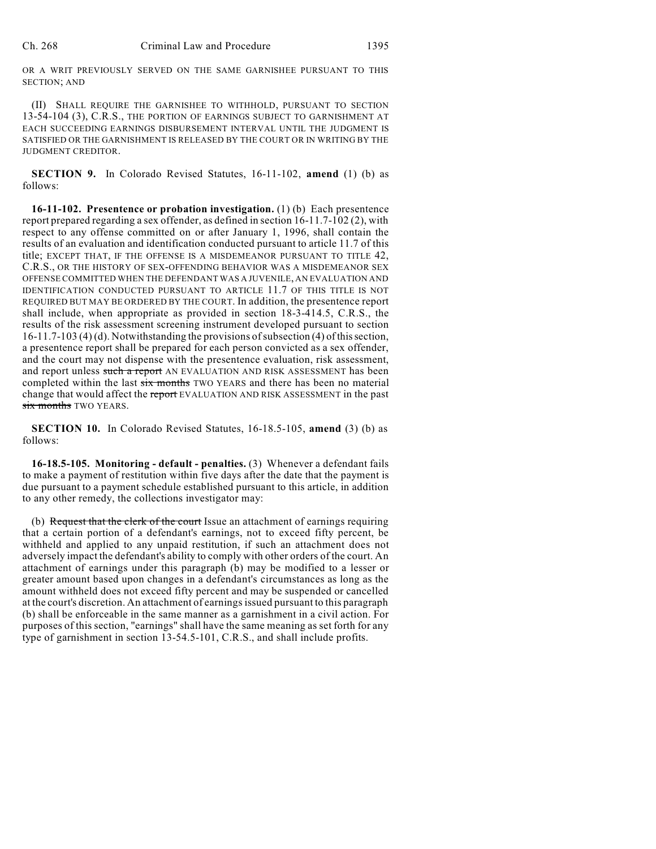OR A WRIT PREVIOUSLY SERVED ON THE SAME GARNISHEE PURSUANT TO THIS SECTION; AND

(II) SHALL REQUIRE THE GARNISHEE TO WITHHOLD, PURSUANT TO SECTION 13-54-104 (3), C.R.S., THE PORTION OF EARNINGS SUBJECT TO GARNISHMENT AT EACH SUCCEEDING EARNINGS DISBURSEMENT INTERVAL UNTIL THE JUDGMENT IS SATISFIED OR THE GARNISHMENT IS RELEASED BY THE COURT OR IN WRITING BY THE JUDGMENT CREDITOR.

**SECTION 9.** In Colorado Revised Statutes, 16-11-102, **amend** (1) (b) as follows:

**16-11-102. Presentence or probation investigation.** (1) (b) Each presentence report prepared regarding a sex offender, as defined in section 16-11.7-102 (2), with respect to any offense committed on or after January 1, 1996, shall contain the results of an evaluation and identification conducted pursuant to article 11.7 of this title; EXCEPT THAT, IF THE OFFENSE IS A MISDEMEANOR PURSUANT TO TITLE 42, C.R.S., OR THE HISTORY OF SEX-OFFENDING BEHAVIOR WAS A MISDEMEANOR SEX OFFENSE COMMITTED WHEN THE DEFENDANT WAS A JUVENILE, AN EVALUATION AND IDENTIFICATION CONDUCTED PURSUANT TO ARTICLE 11.7 OF THIS TITLE IS NOT REQUIRED BUT MAY BE ORDERED BY THE COURT. In addition, the presentence report shall include, when appropriate as provided in section 18-3-414.5, C.R.S., the results of the risk assessment screening instrument developed pursuant to section 16-11.7-103 (4) (d). Notwithstanding the provisions ofsubsection (4) of this section, a presentence report shall be prepared for each person convicted as a sex offender, and the court may not dispense with the presentence evaluation, risk assessment, and report unless such a report AN EVALUATION AND RISK ASSESSMENT has been completed within the last six months TWO YEARS and there has been no material change that would affect the report EVALUATION AND RISK ASSESSMENT in the past six months TWO YEARS.

**SECTION 10.** In Colorado Revised Statutes, 16-18.5-105, **amend** (3) (b) as follows:

**16-18.5-105. Monitoring - default - penalties.** (3) Whenever a defendant fails to make a payment of restitution within five days after the date that the payment is due pursuant to a payment schedule established pursuant to this article, in addition to any other remedy, the collections investigator may:

(b) Request that the clerk of the court Issue an attachment of earnings requiring that a certain portion of a defendant's earnings, not to exceed fifty percent, be withheld and applied to any unpaid restitution, if such an attachment does not adversely impact the defendant's ability to comply with other orders of the court. An attachment of earnings under this paragraph (b) may be modified to a lesser or greater amount based upon changes in a defendant's circumstances as long as the amount withheld does not exceed fifty percent and may be suspended or cancelled at the court's discretion. An attachment of earningsissued pursuant to this paragraph (b) shall be enforceable in the same manner as a garnishment in a civil action. For purposes of this section, "earnings" shall have the same meaning as set forth for any type of garnishment in section 13-54.5-101, C.R.S., and shall include profits.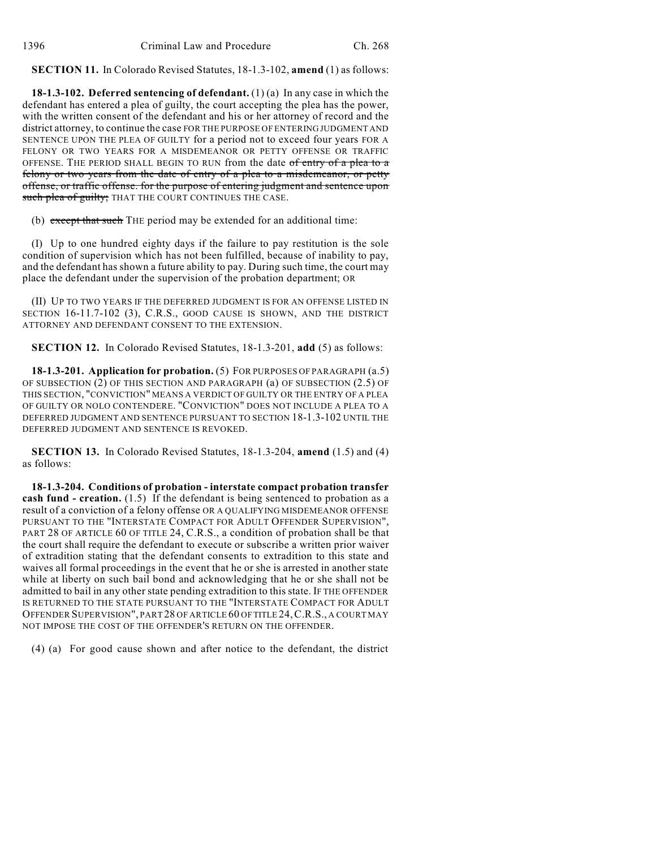**SECTION 11.** In Colorado Revised Statutes, 18-1.3-102, **amend** (1) as follows:

**18-1.3-102. Deferred sentencing of defendant.** (1) (a) In any case in which the defendant has entered a plea of guilty, the court accepting the plea has the power, with the written consent of the defendant and his or her attorney of record and the district attorney, to continue the case FOR THE PURPOSE OF ENTERING JUDGMENT AND SENTENCE UPON THE PLEA OF GUILTY for a period not to exceed four years FOR A FELONY OR TWO YEARS FOR A MISDEMEANOR OR PETTY OFFENSE OR TRAFFIC OFFENSE. THE PERIOD SHALL BEGIN TO RUN from the date of entry of a plea to a felony or two years from the date of entry of a plea to a misdemeanor, or petty offense, or traffic offense. for the purpose of entering judgment and sentence upon such plea of guilty; THAT THE COURT CONTINUES THE CASE.

(b) except that such THE period may be extended for an additional time:

(I) Up to one hundred eighty days if the failure to pay restitution is the sole condition of supervision which has not been fulfilled, because of inability to pay, and the defendant has shown a future ability to pay. During such time, the court may place the defendant under the supervision of the probation department; OR

(II) UP TO TWO YEARS IF THE DEFERRED JUDGMENT IS FOR AN OFFENSE LISTED IN SECTION 16-11.7-102 (3), C.R.S., GOOD CAUSE IS SHOWN, AND THE DISTRICT ATTORNEY AND DEFENDANT CONSENT TO THE EXTENSION.

**SECTION 12.** In Colorado Revised Statutes, 18-1.3-201, **add** (5) as follows:

**18-1.3-201. Application for probation.** (5) FOR PURPOSES OF PARAGRAPH (a.5) OF SUBSECTION (2) OF THIS SECTION AND PARAGRAPH (a) OF SUBSECTION (2.5) OF THIS SECTION, "CONVICTION" MEANS A VERDICT OF GUILTY OR THE ENTRY OF A PLEA OF GUILTY OR NOLO CONTENDERE. "CONVICTION" DOES NOT INCLUDE A PLEA TO A DEFERRED JUDGMENT AND SENTENCE PURSUANT TO SECTION 18-1.3-102 UNTIL THE DEFERRED JUDGMENT AND SENTENCE IS REVOKED.

**SECTION 13.** In Colorado Revised Statutes, 18-1.3-204, **amend** (1.5) and (4) as follows:

**18-1.3-204. Conditions of probation - interstate compact probation transfer cash fund - creation.** (1.5) If the defendant is being sentenced to probation as a result of a conviction of a felony offense OR A QUALIFYING MISDEMEANOR OFFENSE PURSUANT TO THE "INTERSTATE COMPACT FOR ADULT OFFENDER SUPERVISION", PART 28 OF ARTICLE 60 OF TITLE 24, C.R.S., a condition of probation shall be that the court shall require the defendant to execute or subscribe a written prior waiver of extradition stating that the defendant consents to extradition to this state and waives all formal proceedings in the event that he or she is arrested in another state while at liberty on such bail bond and acknowledging that he or she shall not be admitted to bail in any other state pending extradition to this state. IF THE OFFENDER IS RETURNED TO THE STATE PURSUANT TO THE "INTERSTATE COMPACT FOR ADULT OFFENDER SUPERVISION", PART 28 OF ARTICLE 60 OF TITLE 24,C.R.S., A COURT MAY NOT IMPOSE THE COST OF THE OFFENDER'S RETURN ON THE OFFENDER.

(4) (a) For good cause shown and after notice to the defendant, the district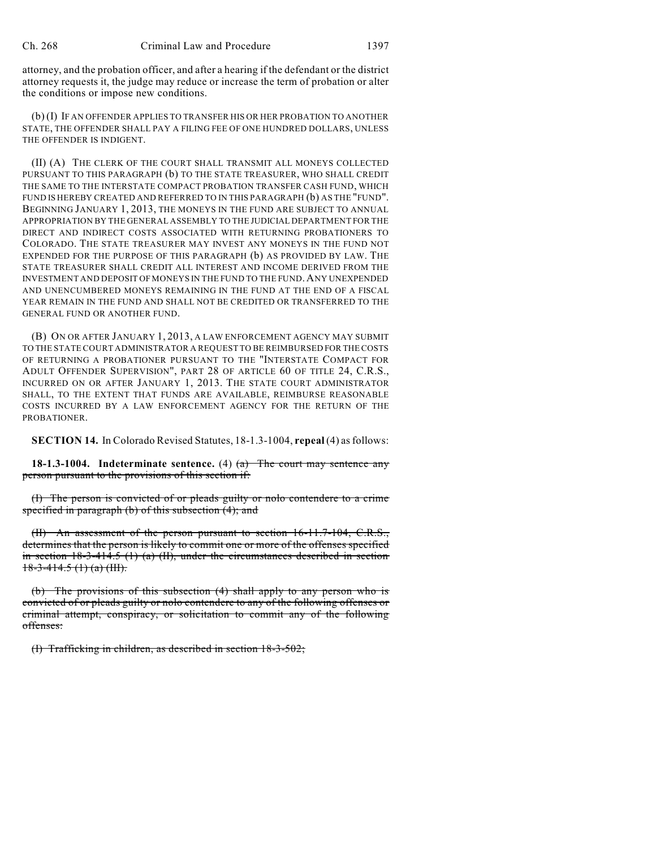attorney, and the probation officer, and after a hearing if the defendant or the district attorney requests it, the judge may reduce or increase the term of probation or alter the conditions or impose new conditions.

(b) (I) IF AN OFFENDER APPLIES TO TRANSFER HIS OR HER PROBATION TO ANOTHER STATE, THE OFFENDER SHALL PAY A FILING FEE OF ONE HUNDRED DOLLARS, UNLESS THE OFFENDER IS INDIGENT.

(II) (A) THE CLERK OF THE COURT SHALL TRANSMIT ALL MONEYS COLLECTED PURSUANT TO THIS PARAGRAPH (b) TO THE STATE TREASURER, WHO SHALL CREDIT THE SAME TO THE INTERSTATE COMPACT PROBATION TRANSFER CASH FUND, WHICH FUND IS HEREBY CREATED AND REFERRED TO IN THIS PARAGRAPH (b) AS THE "FUND". BEGINNING JANUARY 1, 2013, THE MONEYS IN THE FUND ARE SUBJECT TO ANNUAL APPROPRIATION BY THE GENERAL ASSEMBLY TO THE JUDICIAL DEPARTMENT FOR THE DIRECT AND INDIRECT COSTS ASSOCIATED WITH RETURNING PROBATIONERS TO COLORADO. THE STATE TREASURER MAY INVEST ANY MONEYS IN THE FUND NOT EXPENDED FOR THE PURPOSE OF THIS PARAGRAPH (b) AS PROVIDED BY LAW. THE STATE TREASURER SHALL CREDIT ALL INTEREST AND INCOME DERIVED FROM THE INVESTMENT AND DEPOSIT OF MONEYS IN THE FUND TO THE FUND.ANY UNEXPENDED AND UNENCUMBERED MONEYS REMAINING IN THE FUND AT THE END OF A FISCAL YEAR REMAIN IN THE FUND AND SHALL NOT BE CREDITED OR TRANSFERRED TO THE GENERAL FUND OR ANOTHER FUND.

(B) ON OR AFTER JANUARY 1, 2013, A LAW ENFORCEMENT AGENCY MAY SUBMIT TO THE STATE COURT ADMINISTRATOR A REQUEST TO BE REIMBURSED FOR THE COSTS OF RETURNING A PROBATIONER PURSUANT TO THE "INTERSTATE COMPACT FOR ADULT OFFENDER SUPERVISION", PART 28 OF ARTICLE 60 OF TITLE 24, C.R.S., INCURRED ON OR AFTER JANUARY 1, 2013. THE STATE COURT ADMINISTRATOR SHALL, TO THE EXTENT THAT FUNDS ARE AVAILABLE, REIMBURSE REASONABLE COSTS INCURRED BY A LAW ENFORCEMENT AGENCY FOR THE RETURN OF THE PROBATIONER.

**SECTION 14.** In Colorado Revised Statutes, 18-1.3-1004, **repeal**(4) asfollows:

**18-1.3-1004. Indeterminate sentence.** (4) (a) The court may sentence any person pursuant to the provisions of this section if:

(I) The person is convicted of or pleads guilty or nolo contendere to a crime specified in paragraph (b) of this subsection (4); and

(II) An assessment of the person pursuant to section 16-11.7-104, C.R.S., determines that the person is likely to commit one or more of the offenses specified in section  $18-3-414.5$  (1) (a) (II), under the circumstances described in section  $18-3-414.5$  (1) (a) (III).

(b) The provisions of this subsection (4) shall apply to any person who is convicted of or pleads guilty or nolo contendere to any of the following offenses or criminal attempt, conspiracy, or solicitation to commit any of the following offenses:

(I) Trafficking in children, as described in section 18-3-502;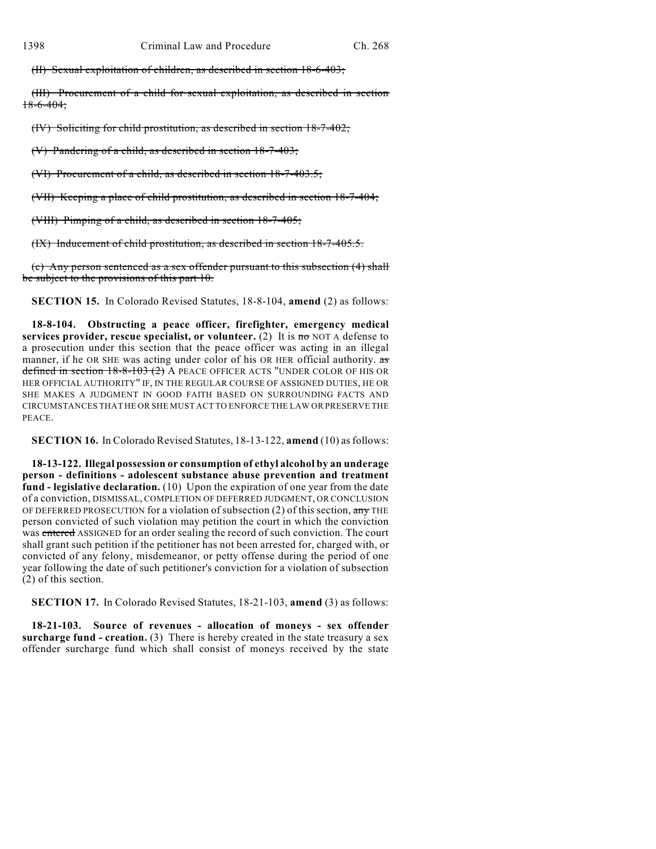(II) Sexual exploitation of children, as described in section 18-6-403;

(III) Procurement of a child for sexual exploitation, as described in section 18-6-404;

(IV) Soliciting for child prostitution, as described in section 18-7-402;

(V) Pandering of a child, as described in section 18-7-403;

(VI) Procurement of a child, as described in section 18-7-403.5;

(VII) Keeping a place of child prostitution, as described in section 18-7-404;

(VIII) Pimping of a child, as described in section 18-7-405;

(IX) Inducement of child prostitution, as described in section 18-7-405.5.

(c) Any person sentenced as a sex offender pursuant to this subsection (4) shall be subject to the provisions of this part 10.

**SECTION 15.** In Colorado Revised Statutes, 18-8-104, **amend** (2) as follows:

**18-8-104. Obstructing a peace officer, firefighter, emergency medical services provider, rescue specialist, or volunteer.** (2) It is no NOT A defense to a prosecution under this section that the peace officer was acting in an illegal manner, if he OR SHE was acting under color of his OR HER official authority. as defined in section 18-8-103 (2) A PEACE OFFICER ACTS "UNDER COLOR OF HIS OR HER OFFICIAL AUTHORITY" IF, IN THE REGULAR COURSE OF ASSIGNED DUTIES, HE OR SHE MAKES A JUDGMENT IN GOOD FAITH BASED ON SURROUNDING FACTS AND CIRCUMSTANCES THAT HE OR SHE MUST ACT TO ENFORCE THE LAW OR PRESERVE THE PEACE.

**SECTION 16.** In Colorado Revised Statutes, 18-13-122, **amend** (10) as follows:

**18-13-122. Illegal possession or consumption of ethyl alcohol by an underage person - definitions - adolescent substance abuse prevention and treatment fund - legislative declaration.** (10) Upon the expiration of one year from the date of a conviction, DISMISSAL, COMPLETION OF DEFERRED JUDGMENT, OR CONCLUSION OF DEFERRED PROSECUTION for a violation of subsection (2) of this section,  $\frac{any}{and}$  THE person convicted of such violation may petition the court in which the conviction was entered ASSIGNED for an order sealing the record of such conviction. The court shall grant such petition if the petitioner has not been arrested for, charged with, or convicted of any felony, misdemeanor, or petty offense during the period of one year following the date of such petitioner's conviction for a violation of subsection (2) of this section.

**SECTION 17.** In Colorado Revised Statutes, 18-21-103, **amend** (3) as follows:

**18-21-103. Source of revenues - allocation of moneys - sex offender surcharge fund - creation.** (3) There is hereby created in the state treasury a sex offender surcharge fund which shall consist of moneys received by the state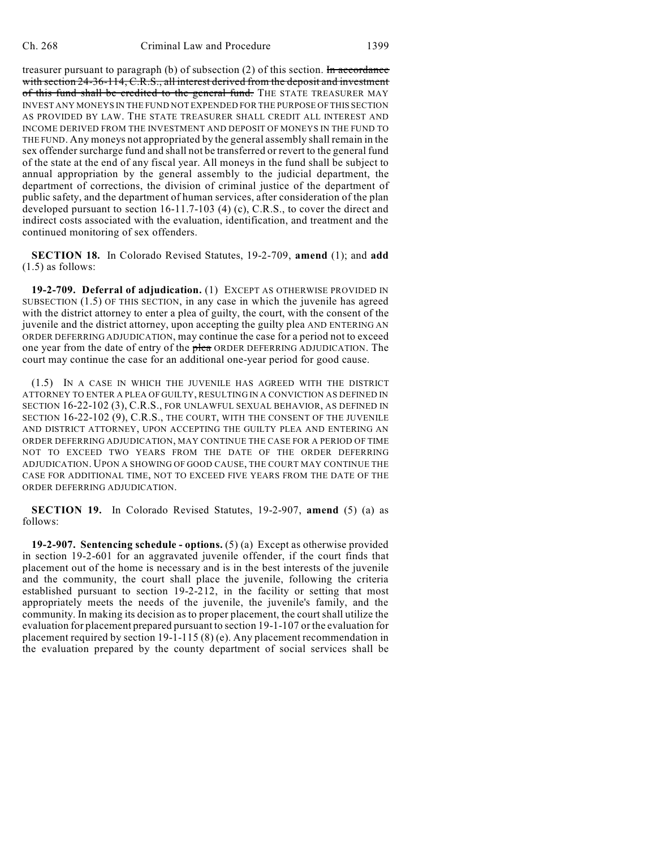treasurer pursuant to paragraph (b) of subsection  $(2)$  of this section. In accordance with section 24-36-114, C.R.S., all interest derived from the deposit and investment of this fund shall be credited to the general fund. THE STATE TREASURER MAY INVEST ANY MONEYS IN THE FUND NOT EXPENDED FOR THE PURPOSE OF THIS SECTION AS PROVIDED BY LAW. THE STATE TREASURER SHALL CREDIT ALL INTEREST AND INCOME DERIVED FROM THE INVESTMENT AND DEPOSIT OF MONEYS IN THE FUND TO THE FUND. Any moneys not appropriated by the general assembly shall remain in the sex offender surcharge fund and shall not be transferred or revert to the general fund of the state at the end of any fiscal year. All moneys in the fund shall be subject to annual appropriation by the general assembly to the judicial department, the department of corrections, the division of criminal justice of the department of public safety, and the department of human services, after consideration of the plan developed pursuant to section 16-11.7-103 (4) (c), C.R.S., to cover the direct and indirect costs associated with the evaluation, identification, and treatment and the continued monitoring of sex offenders.

**SECTION 18.** In Colorado Revised Statutes, 19-2-709, **amend** (1); and **add** (1.5) as follows:

**19-2-709. Deferral of adjudication.** (1) EXCEPT AS OTHERWISE PROVIDED IN SUBSECTION (1.5) OF THIS SECTION, in any case in which the juvenile has agreed with the district attorney to enter a plea of guilty, the court, with the consent of the juvenile and the district attorney, upon accepting the guilty plea AND ENTERING AN ORDER DEFERRING ADJUDICATION, may continue the case for a period not to exceed one year from the date of entry of the plea ORDER DEFERRING ADJUDICATION. The court may continue the case for an additional one-year period for good cause.

(1.5) IN A CASE IN WHICH THE JUVENILE HAS AGREED WITH THE DISTRICT ATTORNEY TO ENTER A PLEA OF GUILTY, RESULTING IN A CONVICTION AS DEFINED IN SECTION 16-22-102 (3), C.R.S., FOR UNLAWFUL SEXUAL BEHAVIOR, AS DEFINED IN SECTION 16-22-102 (9), C.R.S., THE COURT, WITH THE CONSENT OF THE JUVENILE AND DISTRICT ATTORNEY, UPON ACCEPTING THE GUILTY PLEA AND ENTERING AN ORDER DEFERRING ADJUDICATION, MAY CONTINUE THE CASE FOR A PERIOD OF TIME NOT TO EXCEED TWO YEARS FROM THE DATE OF THE ORDER DEFERRING ADJUDICATION. UPON A SHOWING OF GOOD CAUSE, THE COURT MAY CONTINUE THE CASE FOR ADDITIONAL TIME, NOT TO EXCEED FIVE YEARS FROM THE DATE OF THE ORDER DEFERRING ADJUDICATION.

**SECTION 19.** In Colorado Revised Statutes, 19-2-907, **amend** (5) (a) as follows:

**19-2-907. Sentencing schedule - options.** (5) (a) Except as otherwise provided in section 19-2-601 for an aggravated juvenile offender, if the court finds that placement out of the home is necessary and is in the best interests of the juvenile and the community, the court shall place the juvenile, following the criteria established pursuant to section 19-2-212, in the facility or setting that most appropriately meets the needs of the juvenile, the juvenile's family, and the community. In making its decision as to proper placement, the court shall utilize the evaluation for placement prepared pursuant to section 19-1-107 or the evaluation for placement required by section 19-1-115 (8) (e). Any placement recommendation in the evaluation prepared by the county department of social services shall be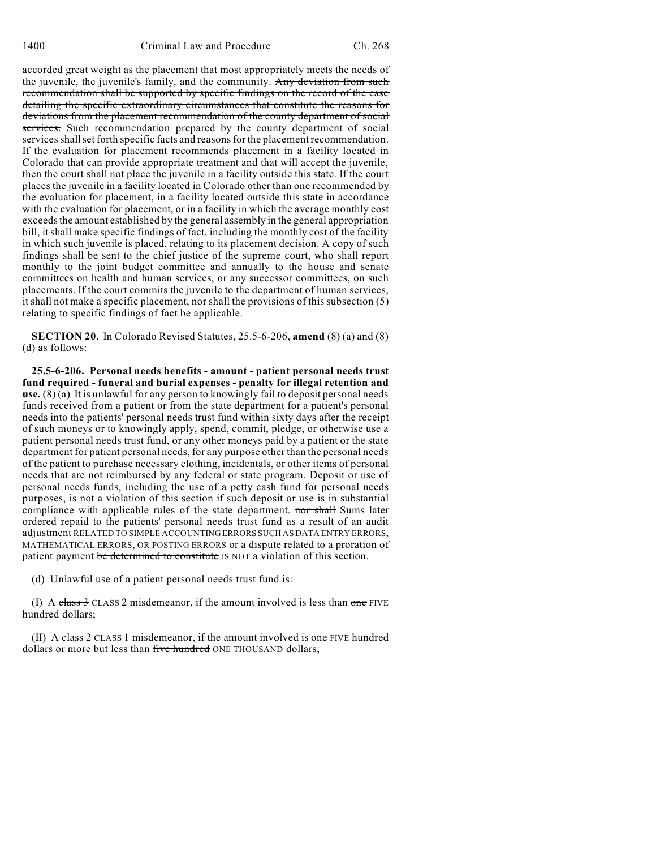accorded great weight as the placement that most appropriately meets the needs of the juvenile, the juvenile's family, and the community. Any deviation from such recommendation shall be supported by specific findings on the record of the case detailing the specific extraordinary circumstances that constitute the reasons for deviations from the placement recommendation of the county department of social services. Such recommendation prepared by the county department of social services shall set forth specific facts and reasons for the placement recommendation. If the evaluation for placement recommends placement in a facility located in Colorado that can provide appropriate treatment and that will accept the juvenile, then the court shall not place the juvenile in a facility outside this state. If the court places the juvenile in a facility located in Colorado other than one recommended by the evaluation for placement, in a facility located outside this state in accordance with the evaluation for placement, or in a facility in which the average monthly cost exceeds the amount established by the general assembly in the general appropriation bill, it shall make specific findings of fact, including the monthly cost of the facility in which such juvenile is placed, relating to its placement decision. A copy of such findings shall be sent to the chief justice of the supreme court, who shall report monthly to the joint budget committee and annually to the house and senate committees on health and human services, or any successor committees, on such placements. If the court commits the juvenile to the department of human services, it shall not make a specific placement, nor shall the provisions of this subsection (5) relating to specific findings of fact be applicable.

**SECTION 20.** In Colorado Revised Statutes, 25.5-6-206, **amend** (8) (a) and (8) (d) as follows:

**25.5-6-206. Personal needs benefits - amount - patient personal needs trust fund required - funeral and burial expenses - penalty for illegal retention and use.** (8) (a) It is unlawful for any person to knowingly fail to deposit personal needs funds received from a patient or from the state department for a patient's personal needs into the patients' personal needs trust fund within sixty days after the receipt of such moneys or to knowingly apply, spend, commit, pledge, or otherwise use a patient personal needs trust fund, or any other moneys paid by a patient or the state department for patient personal needs, for any purpose other than the personal needs of the patient to purchase necessary clothing, incidentals, or other items of personal needs that are not reimbursed by any federal or state program. Deposit or use of personal needs funds, including the use of a petty cash fund for personal needs purposes, is not a violation of this section if such deposit or use is in substantial compliance with applicable rules of the state department. nor shall Sums later ordered repaid to the patients' personal needs trust fund as a result of an audit adjustment RELATED TO SIMPLE ACCOUNTINGERRORS SUCH AS DATA ENTRY ERRORS, MATHEMATICAL ERRORS, OR POSTING ERRORS or a dispute related to a proration of patient payment be determined to constitute IS NOT a violation of this section.

(d) Unlawful use of a patient personal needs trust fund is:

(I) A class  $3$  CLASS 2 misdemeanor, if the amount involved is less than one FIVE hundred dollars;

(II) A class  $2$  CLASS 1 misdemeanor, if the amount involved is one FIVE hundred dollars or more but less than five hundred ONE THOUSAND dollars;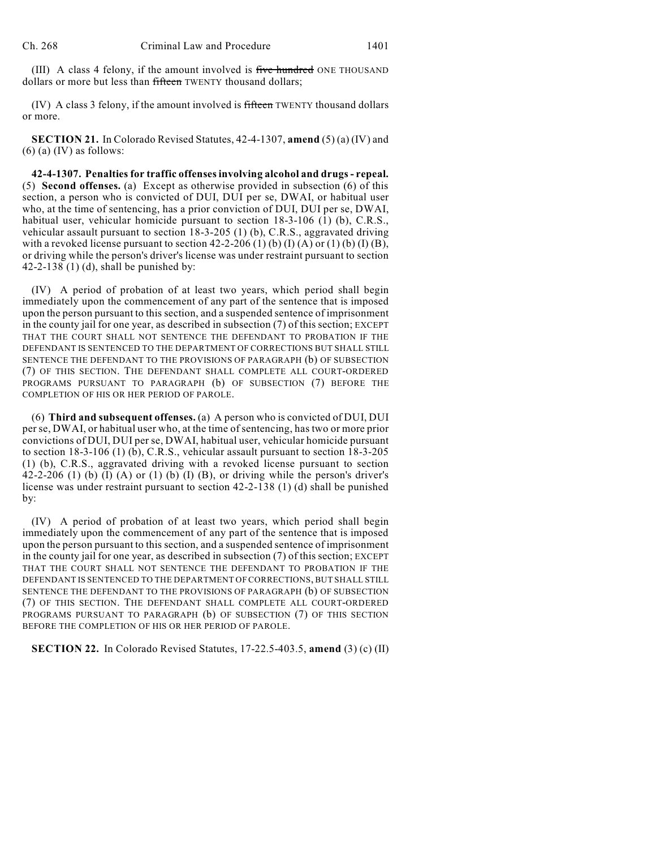(III) A class 4 felony, if the amount involved is five hundred ONE THOUSAND dollars or more but less than fifteen TWENTY thousand dollars;

 $(IV)$  A class 3 felony, if the amount involved is fifteen TWENTY thousand dollars or more.

**SECTION 21.** In Colorado Revised Statutes, 42-4-1307, **amend** (5) (a) (IV) and  $(6)$  (a) (IV) as follows:

**42-4-1307. Penalties for traffic offensesinvolving alcohol and drugs- repeal.** (5) **Second offenses.** (a) Except as otherwise provided in subsection (6) of this section, a person who is convicted of DUI, DUI per se, DWAI, or habitual user who, at the time of sentencing, has a prior conviction of DUI, DUI per se, DWAI, habitual user, vehicular homicide pursuant to section 18-3-106 (1) (b), C.R.S., vehicular assault pursuant to section 18-3-205 (1) (b), C.R.S., aggravated driving with a revoked license pursuant to section  $42-2-206$  (1) (b) (I) (A) or (1) (b) (I) (B), or driving while the person's driver's license was under restraint pursuant to section 42-2-138 (1) (d), shall be punished by:

(IV) A period of probation of at least two years, which period shall begin immediately upon the commencement of any part of the sentence that is imposed upon the person pursuant to this section, and a suspended sentence of imprisonment in the county jail for one year, as described in subsection (7) of this section; EXCEPT THAT THE COURT SHALL NOT SENTENCE THE DEFENDANT TO PROBATION IF THE DEFENDANT IS SENTENCED TO THE DEPARTMENT OF CORRECTIONS BUT SHALL STILL SENTENCE THE DEFENDANT TO THE PROVISIONS OF PARAGRAPH (b) OF SUBSECTION (7) OF THIS SECTION. THE DEFENDANT SHALL COMPLETE ALL COURT-ORDERED PROGRAMS PURSUANT TO PARAGRAPH (b) OF SUBSECTION (7) BEFORE THE COMPLETION OF HIS OR HER PERIOD OF PAROLE.

(6) **Third and subsequent offenses.** (a) A person who is convicted of DUI, DUI per se, DWAI, or habitual user who, at the time of sentencing, has two or more prior convictions of DUI, DUI per se, DWAI, habitual user, vehicular homicide pursuant to section 18-3-106 (1) (b), C.R.S., vehicular assault pursuant to section 18-3-205 (1) (b), C.R.S., aggravated driving with a revoked license pursuant to section 42-2-206 (1) (b) (I) (A) or (1) (b) (I) (B), or driving while the person's driver's license was under restraint pursuant to section 42-2-138 (1) (d) shall be punished by:

(IV) A period of probation of at least two years, which period shall begin immediately upon the commencement of any part of the sentence that is imposed upon the person pursuant to this section, and a suspended sentence of imprisonment in the county jail for one year, as described in subsection (7) of this section; EXCEPT THAT THE COURT SHALL NOT SENTENCE THE DEFENDANT TO PROBATION IF THE DEFENDANT IS SENTENCED TO THE DEPARTMENT OF CORRECTIONS, BUT SHALL STILL SENTENCE THE DEFENDANT TO THE PROVISIONS OF PARAGRAPH (b) OF SUBSECTION (7) OF THIS SECTION. THE DEFENDANT SHALL COMPLETE ALL COURT-ORDERED PROGRAMS PURSUANT TO PARAGRAPH (b) OF SUBSECTION (7) OF THIS SECTION BEFORE THE COMPLETION OF HIS OR HER PERIOD OF PAROLE.

**SECTION 22.** In Colorado Revised Statutes, 17-22.5-403.5, **amend** (3) (c) (II)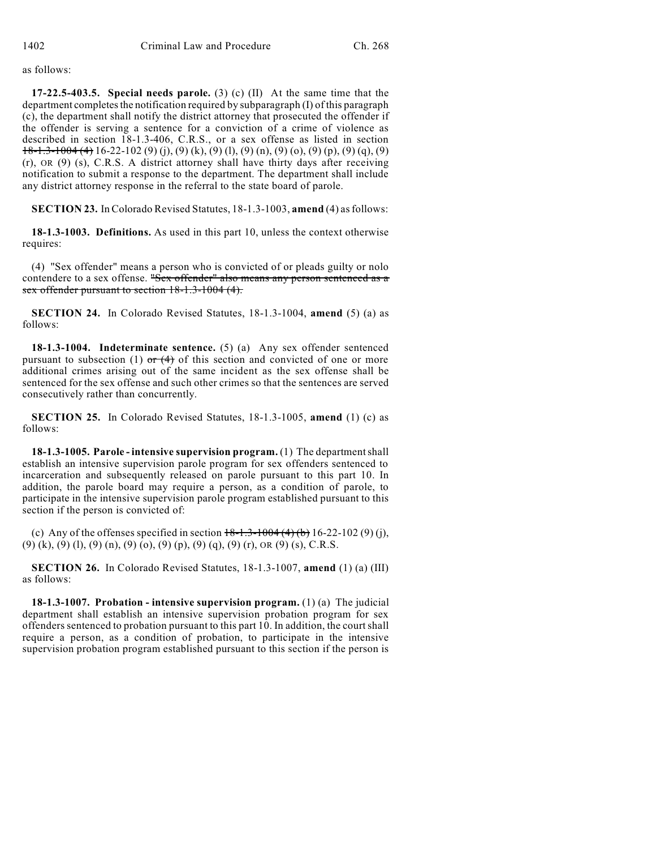as follows:

**17-22.5-403.5. Special needs parole.** (3) (c) (II) At the same time that the department completes the notification required by subparagraph (I) of this paragraph (c), the department shall notify the district attorney that prosecuted the offender if the offender is serving a sentence for a conviction of a crime of violence as described in section 18-1.3-406, C.R.S., or a sex offense as listed in section  $18-1.3-1004(4)$  16-22-102 (9) (j), (9) (k), (9) (l), (9) (n), (9) (o), (9) (p), (9) (q), (9) (r), OR (9) (s), C.R.S. A district attorney shall have thirty days after receiving notification to submit a response to the department. The department shall include any district attorney response in the referral to the state board of parole.

**SECTION 23.** In Colorado Revised Statutes, 18-1.3-1003, **amend** (4) asfollows:

**18-1.3-1003. Definitions.** As used in this part 10, unless the context otherwise requires:

(4) "Sex offender" means a person who is convicted of or pleads guilty or nolo contendere to a sex offense. "Sex offender" also means any person sentenced as a sex offender pursuant to section 18-1.3-1004 (4).

**SECTION 24.** In Colorado Revised Statutes, 18-1.3-1004, **amend** (5) (a) as follows:

**18-1.3-1004. Indeterminate sentence.** (5) (a) Any sex offender sentenced pursuant to subsection (1) or  $(4)$  of this section and convicted of one or more additional crimes arising out of the same incident as the sex offense shall be sentenced for the sex offense and such other crimes so that the sentences are served consecutively rather than concurrently.

**SECTION 25.** In Colorado Revised Statutes, 18-1.3-1005, **amend** (1) (c) as follows:

**18-1.3-1005. Parole - intensive supervision program.** (1) The departmentshall establish an intensive supervision parole program for sex offenders sentenced to incarceration and subsequently released on parole pursuant to this part 10. In addition, the parole board may require a person, as a condition of parole, to participate in the intensive supervision parole program established pursuant to this section if the person is convicted of:

(c) Any of the offenses specified in section  $18-1.3-1004(4)(b) 16-22-102(9)(i)$ , (9) (k), (9) (l), (9) (n), (9) (o), (9) (p), (9) (q), (9) (r), OR (9) (s), C.R.S.

**SECTION 26.** In Colorado Revised Statutes, 18-1.3-1007, **amend** (1) (a) (III) as follows:

**18-1.3-1007. Probation - intensive supervision program.** (1) (a) The judicial department shall establish an intensive supervision probation program for sex offenders sentenced to probation pursuant to this part 10. In addition, the courtshall require a person, as a condition of probation, to participate in the intensive supervision probation program established pursuant to this section if the person is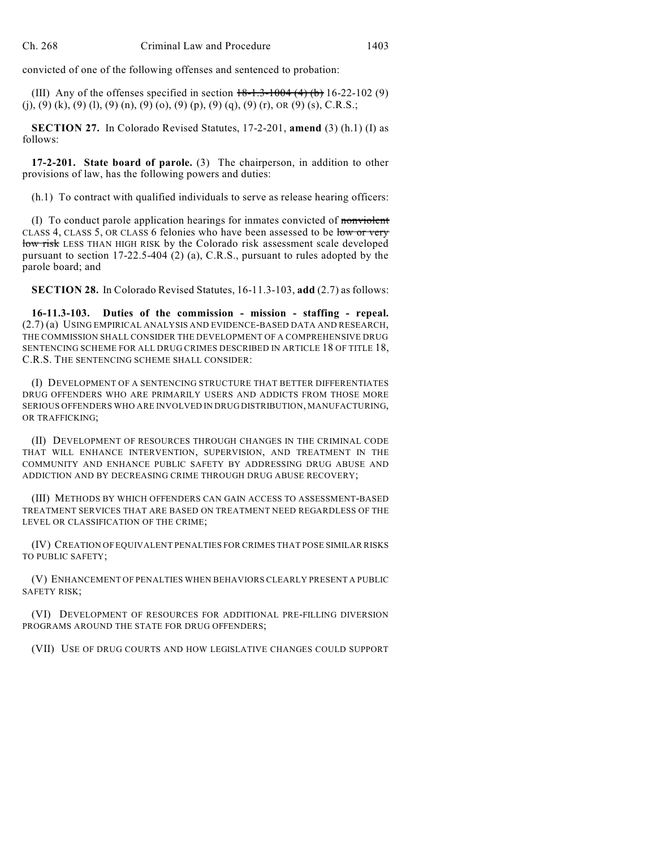convicted of one of the following offenses and sentenced to probation:

(III) Any of the offenses specified in section  $18-1.3-1004$  (4) (b) 16-22-102 (9)  $(j)$ ,  $(9)$   $(k)$ ,  $(9)$   $(l)$ ,  $(9)$   $(n)$ ,  $(9)$   $(o)$ ,  $(9)$   $(p)$ ,  $(9)$   $(q)$ ,  $(9)$   $(r)$ ,  $OR$   $(9)$   $(s)$ ,  $C.R.S.$ ;

**SECTION 27.** In Colorado Revised Statutes, 17-2-201, **amend** (3) (h.1) (I) as follows:

**17-2-201. State board of parole.** (3) The chairperson, in addition to other provisions of law, has the following powers and duties:

(h.1) To contract with qualified individuals to serve as release hearing officers:

(I) To conduct parole application hearings for inmates convicted of nonviolent CLASS 4, CLASS 5, OR CLASS 6 felonies who have been assessed to be low or very low risk LESS THAN HIGH RISK by the Colorado risk assessment scale developed pursuant to section  $17-22.5-404$  (2) (a), C.R.S., pursuant to rules adopted by the parole board; and

**SECTION 28.** In Colorado Revised Statutes, 16-11.3-103, **add** (2.7) as follows:

**16-11.3-103. Duties of the commission - mission - staffing - repeal.** (2.7) (a) USING EMPIRICAL ANALYSIS AND EVIDENCE-BASED DATA AND RESEARCH, THE COMMISSION SHALL CONSIDER THE DEVELOPMENT OF A COMPREHENSIVE DRUG SENTENCING SCHEME FOR ALL DRUG CRIMES DESCRIBED IN ARTICLE 18 OF TITLE 18, C.R.S. THE SENTENCING SCHEME SHALL CONSIDER:

(I) DEVELOPMENT OF A SENTENCING STRUCTURE THAT BETTER DIFFERENTIATES DRUG OFFENDERS WHO ARE PRIMARILY USERS AND ADDICTS FROM THOSE MORE SERIOUS OFFENDERS WHO ARE INVOLVED IN DRUG DISTRIBUTION, MANUFACTURING, OR TRAFFICKING;

(II) DEVELOPMENT OF RESOURCES THROUGH CHANGES IN THE CRIMINAL CODE THAT WILL ENHANCE INTERVENTION, SUPERVISION, AND TREATMENT IN THE COMMUNITY AND ENHANCE PUBLIC SAFETY BY ADDRESSING DRUG ABUSE AND ADDICTION AND BY DECREASING CRIME THROUGH DRUG ABUSE RECOVERY;

(III) METHODS BY WHICH OFFENDERS CAN GAIN ACCESS TO ASSESSMENT-BASED TREATMENT SERVICES THAT ARE BASED ON TREATMENT NEED REGARDLESS OF THE LEVEL OR CLASSIFICATION OF THE CRIME;

(IV) CREATION OF EQUIVALENT PENALTIES FOR CRIMES THAT POSE SIMILAR RISKS TO PUBLIC SAFETY;

(V) ENHANCEMENT OF PENALTIES WHEN BEHAVIORS CLEARLY PRESENT A PUBLIC SAFETY RISK;

(VI) DEVELOPMENT OF RESOURCES FOR ADDITIONAL PRE-FILLING DIVERSION PROGRAMS AROUND THE STATE FOR DRUG OFFENDERS;

(VII) USE OF DRUG COURTS AND HOW LEGISLATIVE CHANGES COULD SUPPORT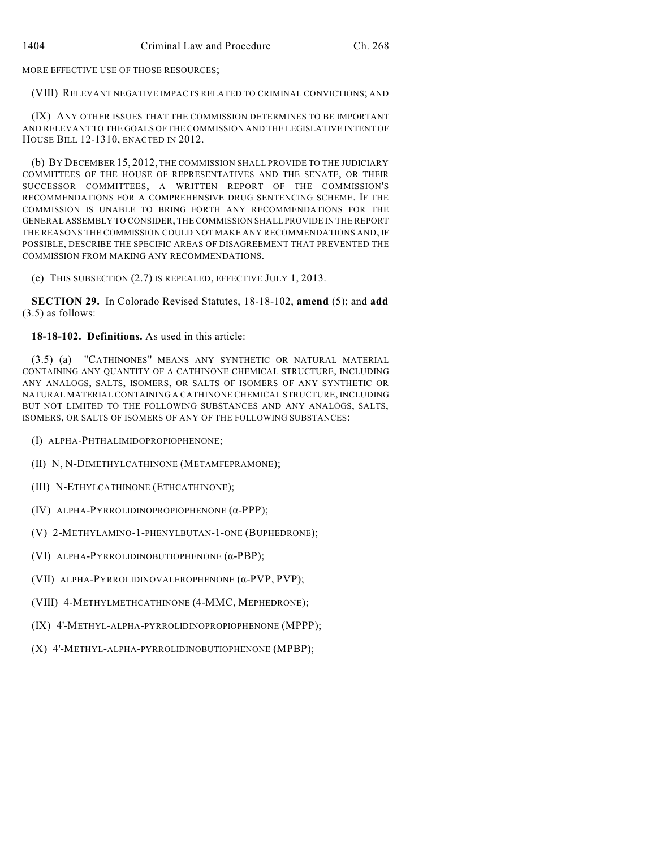MORE EFFECTIVE USE OF THOSE RESOURCES;

### (VIII) RELEVANT NEGATIVE IMPACTS RELATED TO CRIMINAL CONVICTIONS; AND

(IX) ANY OTHER ISSUES THAT THE COMMISSION DETERMINES TO BE IMPORTANT AND RELEVANT TO THE GOALS OF THE COMMISSION AND THE LEGISLATIVE INTENT OF HOUSE BILL 12-1310, ENACTED IN 2012.

(b) BY DECEMBER 15, 2012, THE COMMISSION SHALL PROVIDE TO THE JUDICIARY COMMITTEES OF THE HOUSE OF REPRESENTATIVES AND THE SENATE, OR THEIR SUCCESSOR COMMITTEES, A WRITTEN REPORT OF THE COMMISSION'S RECOMMENDATIONS FOR A COMPREHENSIVE DRUG SENTENCING SCHEME. IF THE COMMISSION IS UNABLE TO BRING FORTH ANY RECOMMENDATIONS FOR THE GENERAL ASSEMBLY TO CONSIDER, THE COMMISSION SHALL PROVIDE IN THE REPORT THE REASONS THE COMMISSION COULD NOT MAKE ANY RECOMMENDATIONS AND, IF POSSIBLE, DESCRIBE THE SPECIFIC AREAS OF DISAGREEMENT THAT PREVENTED THE COMMISSION FROM MAKING ANY RECOMMENDATIONS.

(c) THIS SUBSECTION (2.7) IS REPEALED, EFFECTIVE JULY 1, 2013.

**SECTION 29.** In Colorado Revised Statutes, 18-18-102, **amend** (5); and **add** (3.5) as follows:

**18-18-102. Definitions.** As used in this article:

(3.5) (a) "CATHINONES" MEANS ANY SYNTHETIC OR NATURAL MATERIAL CONTAINING ANY QUANTITY OF A CATHINONE CHEMICAL STRUCTURE, INCLUDING ANY ANALOGS, SALTS, ISOMERS, OR SALTS OF ISOMERS OF ANY SYNTHETIC OR NATURAL MATERIAL CONTAINING A CATHINONE CHEMICAL STRUCTURE, INCLUDING BUT NOT LIMITED TO THE FOLLOWING SUBSTANCES AND ANY ANALOGS, SALTS, ISOMERS, OR SALTS OF ISOMERS OF ANY OF THE FOLLOWING SUBSTANCES:

(I) ALPHA-PHTHALIMIDOPROPIOPHENONE;

(II) N, N-DIMETHYLCATHINONE (METAMFEPRAMONE);

- (III) N-ETHYLCATHINONE (ETHCATHINONE);
- (IV) ALPHA-PYRROLIDINOPROPIOPHENONE  $(\alpha$ -PPP);
- (V) 2-METHYLAMINO-1-PHENYLBUTAN-1-ONE (BUPHEDRONE);
- (VI) ALPHA-PYRROLIDINOBUTIOPHENONE (á-PBP);
- (VII) ALPHA-PYRROLIDINOVALEROPHENONE (á-PVP, PVP);
- (VIII) 4-METHYLMETHCATHINONE (4-MMC, MEPHEDRONE);
- (IX) 4'-METHYL-ALPHA-PYRROLIDINOPROPIOPHENONE (MPPP);
- (X) 4'-METHYL-ALPHA-PYRROLIDINOBUTIOPHENONE (MPBP);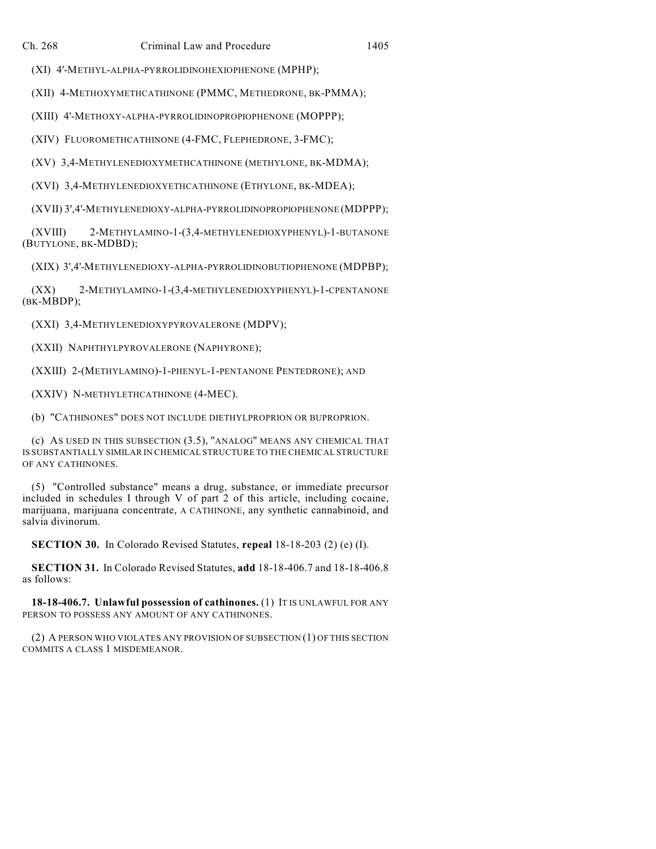(XI) 4'-METHYL-ALPHA-PYRROLIDINOHEXIOPHENONE (MPHP);

(XII) 4-METHOXYMETHCATHINONE (PMMC, METHEDRONE, BK-PMMA);

(XIII) 4'-METHOXY-ALPHA-PYRROLIDINOPROPIOPHENONE (MOPPP);

(XIV) FLUOROMETHCATHINONE (4-FMC, FLEPHEDRONE, 3-FMC);

(XV) 3,4-METHYLENEDIOXYMETHCATHINONE (METHYLONE, BK-MDMA);

(XVI) 3,4-METHYLENEDIOXYETHCATHINONE (ETHYLONE, BK-MDEA);

(XVII) 3',4'-METHYLENEDIOXY-ALPHA-PYRROLIDINOPROPIOPHENONE (MDPPP);

(XVIII) 2-METHYLAMINO-1-(3,4-METHYLENEDIOXYPHENYL)-1-BUTANONE (BUTYLONE, BK-MDBD);

(XIX) 3',4'-METHYLENEDIOXY-ALPHA-PYRROLIDINOBUTIOPHENONE (MDPBP);

(XX) 2-METHYLAMINO-1-(3,4-METHYLENEDIOXYPHENYL)-1-CPENTANONE (BK-MBDP);

(XXI) 3,4-METHYLENEDIOXYPYROVALERONE (MDPV);

(XXII) NAPHTHYLPYROVALERONE (NAPHYRONE);

(XXIII) 2-(METHYLAMINO)-1-PHENYL-1-PENTANONE PENTEDRONE); AND

(XXIV) N-METHYLETHCATHINONE (4-MEC).

(b) "CATHINONES" DOES NOT INCLUDE DIETHYLPROPRION OR BUPROPRION.

(c) AS USED IN THIS SUBSECTION (3.5), "ANALOG" MEANS ANY CHEMICAL THAT IS SUBSTANTIALLY SIMILAR IN CHEMICAL STRUCTURE TO THE CHEMICAL STRUCTURE OF ANY CATHINONES.

(5) "Controlled substance" means a drug, substance, or immediate precursor included in schedules I through V of part 2 of this article, including cocaine, marijuana, marijuana concentrate, A CATHINONE, any synthetic cannabinoid, and salvia divinorum.

**SECTION 30.** In Colorado Revised Statutes, **repeal** 18-18-203 (2) (e) (I).

**SECTION 31.** In Colorado Revised Statutes, **add** 18-18-406.7 and 18-18-406.8 as follows:

**18-18-406.7. Unlawful possession of cathinones.** (1) IT IS UNLAWFUL FOR ANY PERSON TO POSSESS ANY AMOUNT OF ANY CATHINONES.

(2) A PERSON WHO VIOLATES ANY PROVISION OF SUBSECTION (1) OF THIS SECTION COMMITS A CLASS 1 MISDEMEANOR.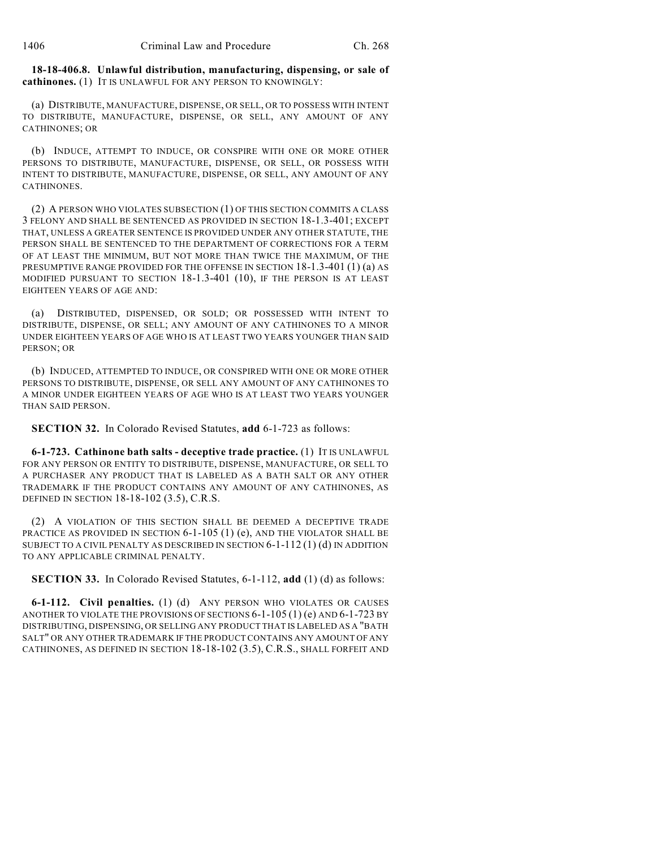**18-18-406.8. Unlawful distribution, manufacturing, dispensing, or sale of cathinones.** (1) IT IS UNLAWFUL FOR ANY PERSON TO KNOWINGLY:

(a) DISTRIBUTE, MANUFACTURE, DISPENSE, OR SELL, OR TO POSSESS WITH INTENT TO DISTRIBUTE, MANUFACTURE, DISPENSE, OR SELL, ANY AMOUNT OF ANY CATHINONES; OR

(b) INDUCE, ATTEMPT TO INDUCE, OR CONSPIRE WITH ONE OR MORE OTHER PERSONS TO DISTRIBUTE, MANUFACTURE, DISPENSE, OR SELL, OR POSSESS WITH INTENT TO DISTRIBUTE, MANUFACTURE, DISPENSE, OR SELL, ANY AMOUNT OF ANY **CATHINONES** 

(2) A PERSON WHO VIOLATES SUBSECTION (1) OF THIS SECTION COMMITS A CLASS 3 FELONY AND SHALL BE SENTENCED AS PROVIDED IN SECTION 18-1.3-401; EXCEPT THAT, UNLESS A GREATER SENTENCE IS PROVIDED UNDER ANY OTHER STATUTE, THE PERSON SHALL BE SENTENCED TO THE DEPARTMENT OF CORRECTIONS FOR A TERM OF AT LEAST THE MINIMUM, BUT NOT MORE THAN TWICE THE MAXIMUM, OF THE PRESUMPTIVE RANGE PROVIDED FOR THE OFFENSE IN SECTION 18-1.3-401 (1) (a) AS MODIFIED PURSUANT TO SECTION 18-1.3-401 (10), IF THE PERSON IS AT LEAST EIGHTEEN YEARS OF AGE AND:

(a) DISTRIBUTED, DISPENSED, OR SOLD; OR POSSESSED WITH INTENT TO DISTRIBUTE, DISPENSE, OR SELL; ANY AMOUNT OF ANY CATHINONES TO A MINOR UNDER EIGHTEEN YEARS OF AGE WHO IS AT LEAST TWO YEARS YOUNGER THAN SAID PERSON; OR

(b) INDUCED, ATTEMPTED TO INDUCE, OR CONSPIRED WITH ONE OR MORE OTHER PERSONS TO DISTRIBUTE, DISPENSE, OR SELL ANY AMOUNT OF ANY CATHINONES TO A MINOR UNDER EIGHTEEN YEARS OF AGE WHO IS AT LEAST TWO YEARS YOUNGER THAN SAID PERSON.

**SECTION 32.** In Colorado Revised Statutes, **add** 6-1-723 as follows:

**6-1-723. Cathinone bath salts - deceptive trade practice.** (1) IT IS UNLAWFUL FOR ANY PERSON OR ENTITY TO DISTRIBUTE, DISPENSE, MANUFACTURE, OR SELL TO A PURCHASER ANY PRODUCT THAT IS LABELED AS A BATH SALT OR ANY OTHER TRADEMARK IF THE PRODUCT CONTAINS ANY AMOUNT OF ANY CATHINONES, AS DEFINED IN SECTION 18-18-102 (3.5), C.R.S.

(2) A VIOLATION OF THIS SECTION SHALL BE DEEMED A DECEPTIVE TRADE PRACTICE AS PROVIDED IN SECTION 6-1-105 (1) (e), AND THE VIOLATOR SHALL BE SUBJECT TO A CIVIL PENALTY AS DESCRIBED IN SECTION 6-1-112 (1) (d) IN ADDITION TO ANY APPLICABLE CRIMINAL PENALTY.

**SECTION 33.** In Colorado Revised Statutes, 6-1-112, **add** (1) (d) as follows:

**6-1-112. Civil penalties.** (1) (d) ANY PERSON WHO VIOLATES OR CAUSES ANOTHER TO VIOLATE THE PROVISIONS OF SECTIONS 6-1-105 (1) (e) AND 6-1-723 BY DISTRIBUTING, DISPENSING, OR SELLING ANY PRODUCT THAT IS LABELED AS A "BATH SALT" OR ANY OTHER TRADEMARK IF THE PRODUCT CONTAINS ANY AMOUNT OF ANY CATHINONES, AS DEFINED IN SECTION 18-18-102 (3.5), C.R.S., SHALL FORFEIT AND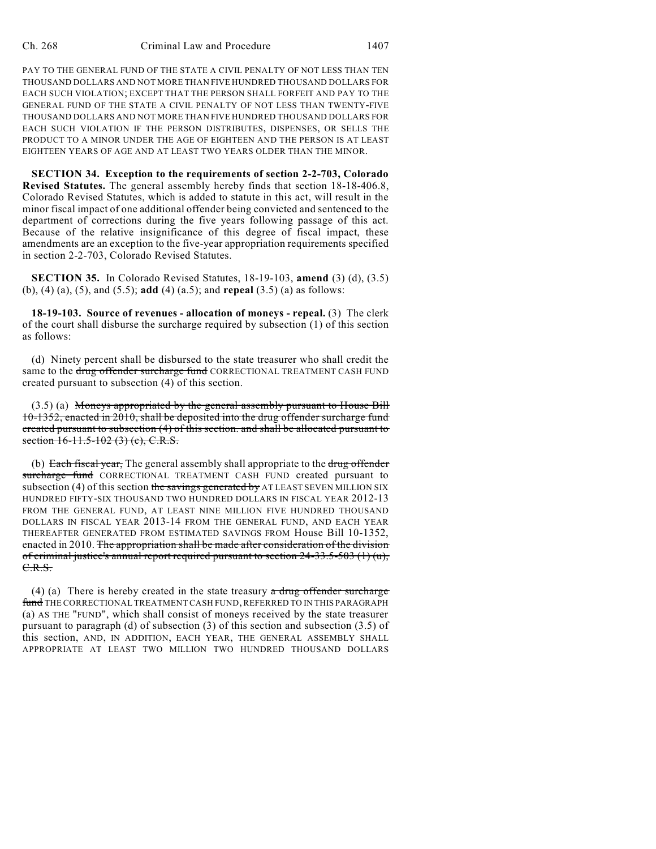PAY TO THE GENERAL FUND OF THE STATE A CIVIL PENALTY OF NOT LESS THAN TEN THOUSAND DOLLARS AND NOT MORE THAN FIVE HUNDRED THOUSAND DOLLARS FOR EACH SUCH VIOLATION; EXCEPT THAT THE PERSON SHALL FORFEIT AND PAY TO THE GENERAL FUND OF THE STATE A CIVIL PENALTY OF NOT LESS THAN TWENTY-FIVE THOUSAND DOLLARS AND NOT MORE THAN FIVE HUNDRED THOUSAND DOLLARS FOR EACH SUCH VIOLATION IF THE PERSON DISTRIBUTES, DISPENSES, OR SELLS THE PRODUCT TO A MINOR UNDER THE AGE OF EIGHTEEN AND THE PERSON IS AT LEAST EIGHTEEN YEARS OF AGE AND AT LEAST TWO YEARS OLDER THAN THE MINOR.

**SECTION 34. Exception to the requirements of section 2-2-703, Colorado Revised Statutes.** The general assembly hereby finds that section 18-18-406.8, Colorado Revised Statutes, which is added to statute in this act, will result in the minor fiscal impact of one additional offender being convicted and sentenced to the department of corrections during the five years following passage of this act. Because of the relative insignificance of this degree of fiscal impact, these amendments are an exception to the five-year appropriation requirements specified in section 2-2-703, Colorado Revised Statutes.

**SECTION 35.** In Colorado Revised Statutes, 18-19-103, **amend** (3) (d), (3.5) (b), (4) (a), (5), and (5.5); **add** (4) (a.5); and **repeal** (3.5) (a) as follows:

**18-19-103. Source of revenues - allocation of moneys - repeal.** (3) The clerk of the court shall disburse the surcharge required by subsection (1) of this section as follows:

(d) Ninety percent shall be disbursed to the state treasurer who shall credit the same to the drug offender surcharge fund CORRECTIONAL TREATMENT CASH FUND created pursuant to subsection (4) of this section.

(3.5) (a) Moneys appropriated by the general assembly pursuant to House Bill 10-1352, enacted in 2010, shall be deposited into the drug offender surcharge fund created pursuant to subsection (4) of this section. and shall be allocated pursuant to section  $16-11.5-102$  (3) (e), C.R.S.

(b) Each fiscal year, The general assembly shall appropriate to the drug offender surcharge fund CORRECTIONAL TREATMENT CASH FUND created pursuant to subsection (4) of this section the savings generated by AT LEAST SEVEN MILLION SIX HUNDRED FIFTY-SIX THOUSAND TWO HUNDRED DOLLARS IN FISCAL YEAR 2012-13 FROM THE GENERAL FUND, AT LEAST NINE MILLION FIVE HUNDRED THOUSAND DOLLARS IN FISCAL YEAR 2013-14 FROM THE GENERAL FUND, AND EACH YEAR THEREAFTER GENERATED FROM ESTIMATED SAVINGS FROM House Bill 10-1352, enacted in 2010. The appropriation shall be made after consideration of the division of criminal justice's annual report required pursuant to section  $24-33.5-503(1)(u)$ , C.R.S.

(4) (a) There is hereby created in the state treasury  $\alpha$  drug offender surcharge fund THE CORRECTIONAL TREATMENT CASH FUND, REFERRED TO IN THIS PARAGRAPH (a) AS THE "FUND", which shall consist of moneys received by the state treasurer pursuant to paragraph (d) of subsection (3) of this section and subsection (3.5) of this section, AND, IN ADDITION, EACH YEAR, THE GENERAL ASSEMBLY SHALL APPROPRIATE AT LEAST TWO MILLION TWO HUNDRED THOUSAND DOLLARS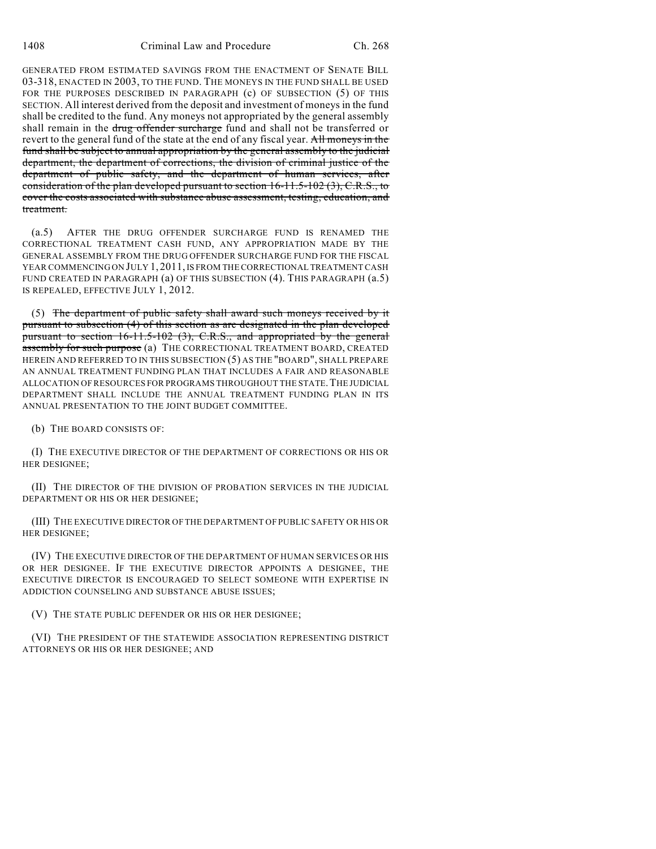GENERATED FROM ESTIMATED SAVINGS FROM THE ENACTMENT OF SENATE BILL 03-318, ENACTED IN 2003, TO THE FUND. THE MONEYS IN THE FUND SHALL BE USED FOR THE PURPOSES DESCRIBED IN PARAGRAPH (c) OF SUBSECTION (5) OF THIS SECTION. All interest derived from the deposit and investment of moneys in the fund shall be credited to the fund. Any moneys not appropriated by the general assembly shall remain in the drug offender surcharge fund and shall not be transferred or revert to the general fund of the state at the end of any fiscal year. All moneys in the fund shall be subject to annual appropriation by the general assembly to the judicial department, the department of corrections, the division of criminal justice of the department of public safety, and the department of human services, after consideration of the plan developed pursuant to section 16-11.5-102 (3), C.R.S., to cover the costs associated with substance abuse assessment, testing, education, and treatment.

(a.5) AFTER THE DRUG OFFENDER SURCHARGE FUND IS RENAMED THE CORRECTIONAL TREATMENT CASH FUND, ANY APPROPRIATION MADE BY THE GENERAL ASSEMBLY FROM THE DRUG OFFENDER SURCHARGE FUND FOR THE FISCAL YEAR COMMENCING ON JULY 1, 2011, IS FROM THE CORRECTIONAL TREATMENT CASH FUND CREATED IN PARAGRAPH (a) OF THIS SUBSECTION (4). THIS PARAGRAPH (a.5) IS REPEALED, EFFECTIVE JULY 1, 2012.

(5) The department of public safety shall award such moneys received by it pursuant to subsection (4) of this section as are designated in the plan developed pursuant to section 16-11.5-102 (3), C.R.S., and appropriated by the general assembly for such purpose (a) THE CORRECTIONAL TREATMENT BOARD, CREATED HEREIN AND REFERRED TO IN THIS SUBSECTION (5) AS THE "BOARD", SHALL PREPARE AN ANNUAL TREATMENT FUNDING PLAN THAT INCLUDES A FAIR AND REASONABLE ALLOCATION OF RESOURCES FOR PROGRAMS THROUGHOUT THE STATE. THE JUDICIAL DEPARTMENT SHALL INCLUDE THE ANNUAL TREATMENT FUNDING PLAN IN ITS ANNUAL PRESENTATION TO THE JOINT BUDGET COMMITTEE.

(b) THE BOARD CONSISTS OF:

(I) THE EXECUTIVE DIRECTOR OF THE DEPARTMENT OF CORRECTIONS OR HIS OR HER DESIGNEE;

(II) THE DIRECTOR OF THE DIVISION OF PROBATION SERVICES IN THE JUDICIAL DEPARTMENT OR HIS OR HER DESIGNEE;

(III) THE EXECUTIVE DIRECTOR OF THE DEPARTMENT OF PUBLIC SAFETY OR HIS OR HER DESIGNEE;

(IV) THE EXECUTIVE DIRECTOR OF THE DEPARTMENT OF HUMAN SERVICES OR HIS OR HER DESIGNEE. IF THE EXECUTIVE DIRECTOR APPOINTS A DESIGNEE, THE EXECUTIVE DIRECTOR IS ENCOURAGED TO SELECT SOMEONE WITH EXPERTISE IN ADDICTION COUNSELING AND SUBSTANCE ABUSE ISSUES;

(V) THE STATE PUBLIC DEFENDER OR HIS OR HER DESIGNEE;

(VI) THE PRESIDENT OF THE STATEWIDE ASSOCIATION REPRESENTING DISTRICT ATTORNEYS OR HIS OR HER DESIGNEE; AND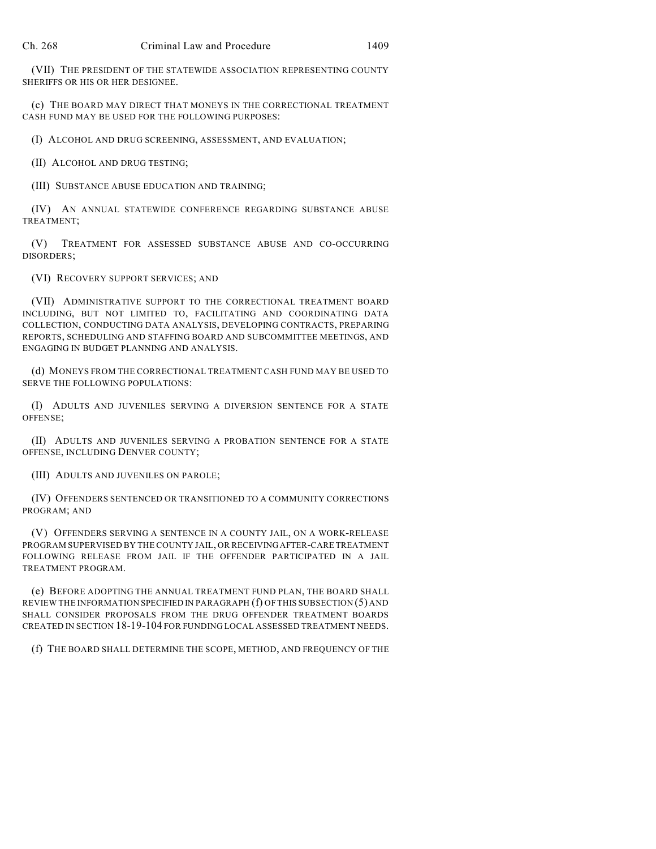(VII) THE PRESIDENT OF THE STATEWIDE ASSOCIATION REPRESENTING COUNTY SHERIFFS OR HIS OR HER DESIGNEE.

(c) THE BOARD MAY DIRECT THAT MONEYS IN THE CORRECTIONAL TREATMENT CASH FUND MAY BE USED FOR THE FOLLOWING PURPOSES:

(I) ALCOHOL AND DRUG SCREENING, ASSESSMENT, AND EVALUATION;

(II) ALCOHOL AND DRUG TESTING;

(III) SUBSTANCE ABUSE EDUCATION AND TRAINING;

(IV) AN ANNUAL STATEWIDE CONFERENCE REGARDING SUBSTANCE ABUSE TREATMENT;

(V) TREATMENT FOR ASSESSED SUBSTANCE ABUSE AND CO-OCCURRING DISORDERS;

(VI) RECOVERY SUPPORT SERVICES; AND

(VII) ADMINISTRATIVE SUPPORT TO THE CORRECTIONAL TREATMENT BOARD INCLUDING, BUT NOT LIMITED TO, FACILITATING AND COORDINATING DATA COLLECTION, CONDUCTING DATA ANALYSIS, DEVELOPING CONTRACTS, PREPARING REPORTS, SCHEDULING AND STAFFING BOARD AND SUBCOMMITTEE MEETINGS, AND ENGAGING IN BUDGET PLANNING AND ANALYSIS.

(d) MONEYS FROM THE CORRECTIONAL TREATMENT CASH FUND MAY BE USED TO SERVE THE FOLLOWING POPULATIONS:

(I) ADULTS AND JUVENILES SERVING A DIVERSION SENTENCE FOR A STATE OFFENSE;

(II) ADULTS AND JUVENILES SERVING A PROBATION SENTENCE FOR A STATE OFFENSE, INCLUDING DENVER COUNTY;

(III) ADULTS AND JUVENILES ON PAROLE;

(IV) OFFENDERS SENTENCED OR TRANSITIONED TO A COMMUNITY CORRECTIONS PROGRAM; AND

(V) OFFENDERS SERVING A SENTENCE IN A COUNTY JAIL, ON A WORK-RELEASE PROGRAM SUPERVISED BY THE COUNTY JAIL, OR RECEIVINGAFTER-CARE TREATMENT FOLLOWING RELEASE FROM JAIL IF THE OFFENDER PARTICIPATED IN A JAIL TREATMENT PROGRAM.

(e) BEFORE ADOPTING THE ANNUAL TREATMENT FUND PLAN, THE BOARD SHALL REVIEW THE INFORMATION SPECIFIED IN PARAGRAPH (f) OF THIS SUBSECTION (5) AND SHALL CONSIDER PROPOSALS FROM THE DRUG OFFENDER TREATMENT BOARDS CREATED IN SECTION 18-19-104 FOR FUNDING LOCAL ASSESSED TREATMENT NEEDS.

(f) THE BOARD SHALL DETERMINE THE SCOPE, METHOD, AND FREQUENCY OF THE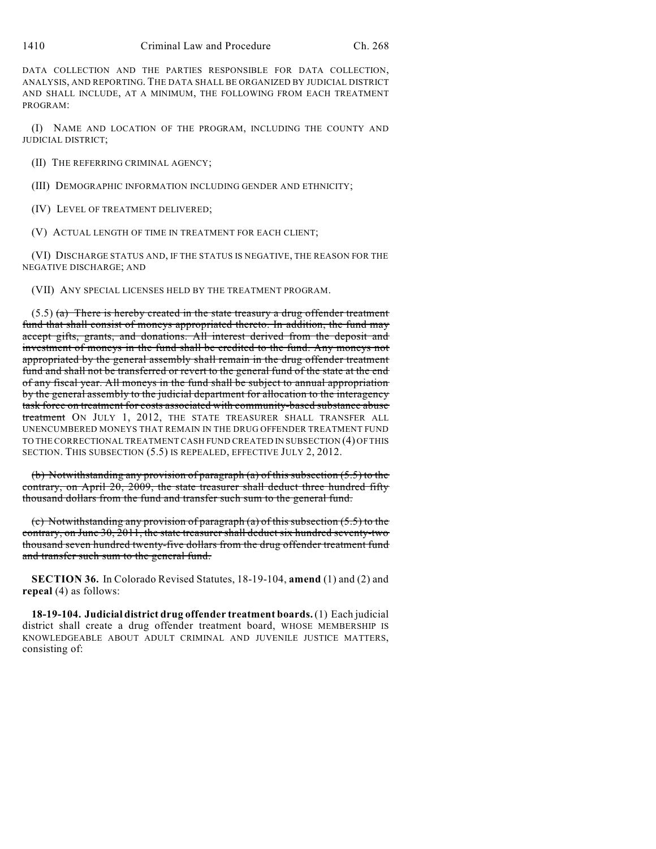1410 Criminal Law and Procedure Ch. 268

DATA COLLECTION AND THE PARTIES RESPONSIBLE FOR DATA COLLECTION, ANALYSIS, AND REPORTING. THE DATA SHALL BE ORGANIZED BY JUDICIAL DISTRICT AND SHALL INCLUDE, AT A MINIMUM, THE FOLLOWING FROM EACH TREATMENT PROGRAM:

(I) NAME AND LOCATION OF THE PROGRAM, INCLUDING THE COUNTY AND JUDICIAL DISTRICT;

(II) THE REFERRING CRIMINAL AGENCY;

(III) DEMOGRAPHIC INFORMATION INCLUDING GENDER AND ETHNICITY;

(IV) LEVEL OF TREATMENT DELIVERED;

(V) ACTUAL LENGTH OF TIME IN TREATMENT FOR EACH CLIENT;

(VI) DISCHARGE STATUS AND, IF THE STATUS IS NEGATIVE, THE REASON FOR THE NEGATIVE DISCHARGE; AND

(VII) ANY SPECIAL LICENSES HELD BY THE TREATMENT PROGRAM.

 $(5.5)$  (a) There is hereby created in the state treasury a drug offender treatment fund that shall consist of moneys appropriated thereto. In addition, the fund may accept gifts, grants, and donations. All interest derived from the deposit and investment of moneys in the fund shall be credited to the fund. Any moneys not appropriated by the general assembly shall remain in the drug offender treatment fund and shall not be transferred or revert to the general fund of the state at the end of any fiscal year. All moneys in the fund shall be subject to annual appropriation by the general assembly to the judicial department for allocation to the interagency task force on treatment for costs associated with community-based substance abuse treatment ON JULY 1, 2012, THE STATE TREASURER SHALL TRANSFER ALL UNENCUMBERED MONEYS THAT REMAIN IN THE DRUG OFFENDER TREATMENT FUND TO THE CORRECTIONAL TREATMENT CASH FUND CREATED IN SUBSECTION (4) OF THIS SECTION. THIS SUBSECTION (5.5) IS REPEALED, EFFECTIVE JULY 2, 2012.

(b) Notwithstanding any provision of paragraph (a) of this subsection (5.5) to the contrary, on April 20, 2009, the state treasurer shall deduct three hundred fifty thousand dollars from the fund and transfer such sum to the general fund.

(c) Notwithstanding any provision of paragraph (a) of this subsection (5.5) to the contrary, on June 30, 2011, the state treasurer shall deduct six hundred seventy-two thousand seven hundred twenty-five dollars from the drug offender treatment fund and transfer such sum to the general fund.

**SECTION 36.** In Colorado Revised Statutes, 18-19-104, **amend** (1) and (2) and **repeal** (4) as follows:

**18-19-104. Judicial district drug offender treatment boards.**(1) Each judicial district shall create a drug offender treatment board, WHOSE MEMBERSHIP IS KNOWLEDGEABLE ABOUT ADULT CRIMINAL AND JUVENILE JUSTICE MATTERS, consisting of: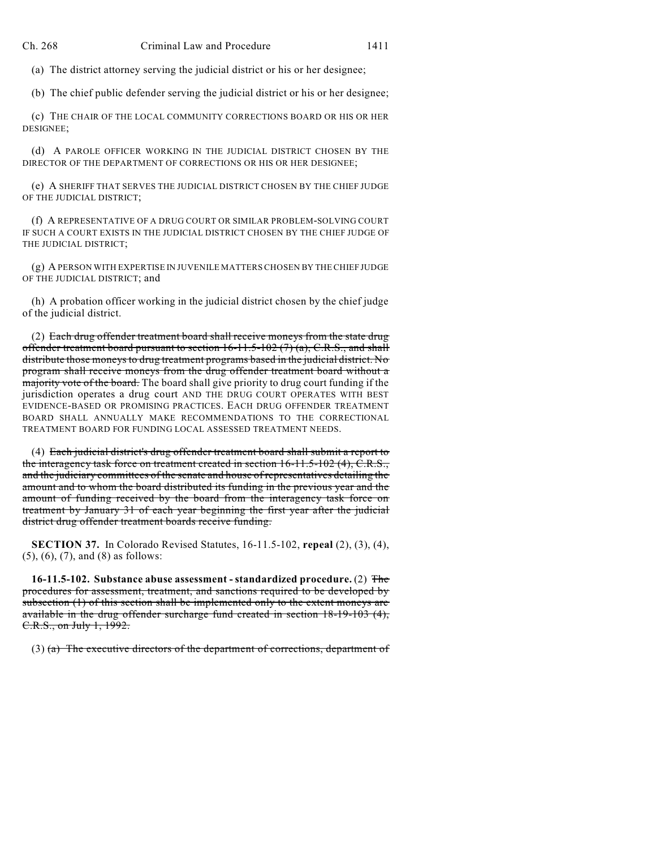(a) The district attorney serving the judicial district or his or her designee;

(b) The chief public defender serving the judicial district or his or her designee;

(c) THE CHAIR OF THE LOCAL COMMUNITY CORRECTIONS BOARD OR HIS OR HER DESIGNEE;

(d) A PAROLE OFFICER WORKING IN THE JUDICIAL DISTRICT CHOSEN BY THE DIRECTOR OF THE DEPARTMENT OF CORRECTIONS OR HIS OR HER DESIGNEE;

(e) A SHERIFF THAT SERVES THE JUDICIAL DISTRICT CHOSEN BY THE CHIEF JUDGE OF THE JUDICIAL DISTRICT;

(f) A REPRESENTATIVE OF A DRUG COURT OR SIMILAR PROBLEM-SOLVING COURT IF SUCH A COURT EXISTS IN THE JUDICIAL DISTRICT CHOSEN BY THE CHIEF JUDGE OF THE JUDICIAL DISTRICT;

(g) A PERSON WITH EXPERTISE IN JUVENILE MATTERS CHOSEN BY THECHIEF JUDGE OF THE JUDICIAL DISTRICT; and

(h) A probation officer working in the judicial district chosen by the chief judge of the judicial district.

(2) Each drug offender treatment board shall receive moneys from the state drug offender treatment board pursuant to section  $16-11.5-102(7)(a)$ , C.R.S., and shall distribute those moneys to drug treatment programs based in the judicial district. No program shall receive moneys from the drug offender treatment board without a majority vote of the board. The board shall give priority to drug court funding if the jurisdiction operates a drug court AND THE DRUG COURT OPERATES WITH BEST EVIDENCE-BASED OR PROMISING PRACTICES. EACH DRUG OFFENDER TREATMENT BOARD SHALL ANNUALLY MAKE RECOMMENDATIONS TO THE CORRECTIONAL TREATMENT BOARD FOR FUNDING LOCAL ASSESSED TREATMENT NEEDS.

(4) Each judicial district's drug offender treatment board shall submit a report to the interagency task force on treatment created in section  $16-11.5-102$  (4), C.R.S., and the judiciary committees of the senate and house of representatives detailing the amount and to whom the board distributed its funding in the previous year and the amount of funding received by the board from the interagency task force on treatment by January 31 of each year beginning the first year after the judicial district drug offender treatment boards receive funding.

**SECTION 37.** In Colorado Revised Statutes, 16-11.5-102, **repeal** (2), (3), (4), (5), (6), (7), and (8) as follows:

**16-11.5-102. Substance abuse assessment - standardized procedure.** (2) The procedures for assessment, treatment, and sanctions required to be developed by subsection (1) of this section shall be implemented only to the extent moneys are available in the drug offender surcharge fund created in section 18-19-103 (4), C.R.S., on July 1, 1992.

(3) (a) The executive directors of the department of corrections, department of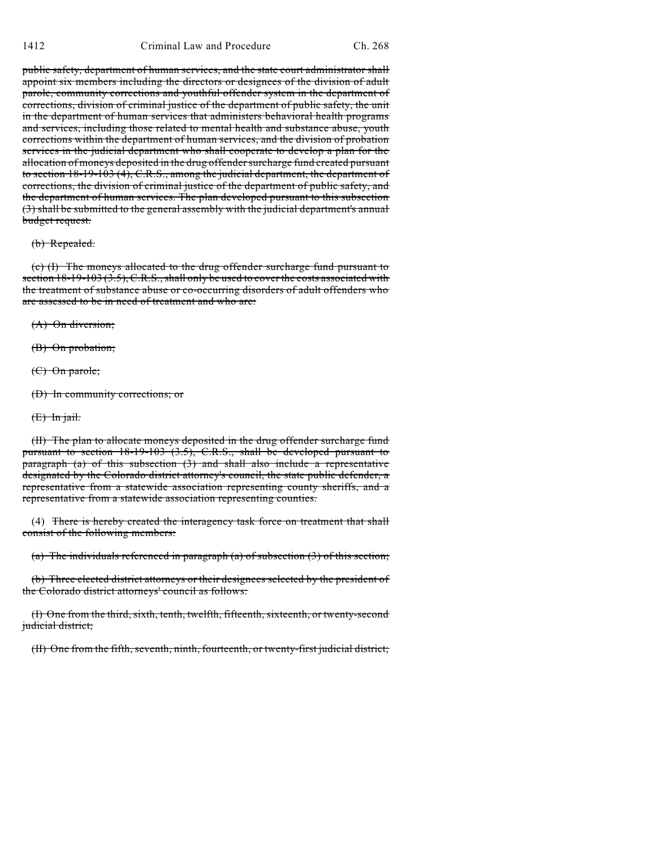public safety, department of human services, and the state court administrator shall appoint six members including the directors or designees of the division of adult parole, community corrections and youthful offender system in the department of corrections, division of criminal justice of the department of public safety, the unit in the department of human services that administers behavioral health programs and services, including those related to mental health and substance abuse, youth corrections within the department of human services, and the division of probation services in the judicial department who shall cooperate to develop a plan for the allocation of moneys deposited in the drug offender surcharge fund created pursuant to section 18-19-103 (4), C.R.S., among the judicial department, the department of corrections, the division of criminal justice of the department of public safety, and the department of human services. The plan developed pursuant to this subsection (3) shall be submitted to the general assembly with the judicial department's annual budget request.

#### (b) Repealed.

(c) (I) The moneys allocated to the drug offender surcharge fund pursuant to section  $18-19-103$  (3.5), C.R.S., shall only be used to cover the costs associated with the treatment of substance abuse or co-occurring disorders of adult offenders who are assessed to be in need of treatment and who are:

(A) On diversion;

(B) On probation;

(C) On parole;

(D) In community corrections; or

 $(E)$  In jail.

(II) The plan to allocate moneys deposited in the drug offender surcharge fund pursuant to section 18-19-103 (3.5), C.R.S., shall be developed pursuant to paragraph (a) of this subsection (3) and shall also include a representative designated by the Colorado district attorney's council, the state public defender, a representative from a statewide association representing county sheriffs, and a representative from a statewide association representing counties.

(4) There is hereby created the interagency task force on treatment that shall consist of the following members:

(a) The individuals referenced in paragraph (a) of subsection (3) of this section;

(b) Three elected district attorneys or their designees selected by the president of the Colorado district attorneys' council as follows:

(I) One from the third, sixth, tenth, twelfth, fifteenth, sixteenth, or twenty-second judicial district;

(II) One from the fifth, seventh, ninth, fourteenth, or twenty-first judicial district;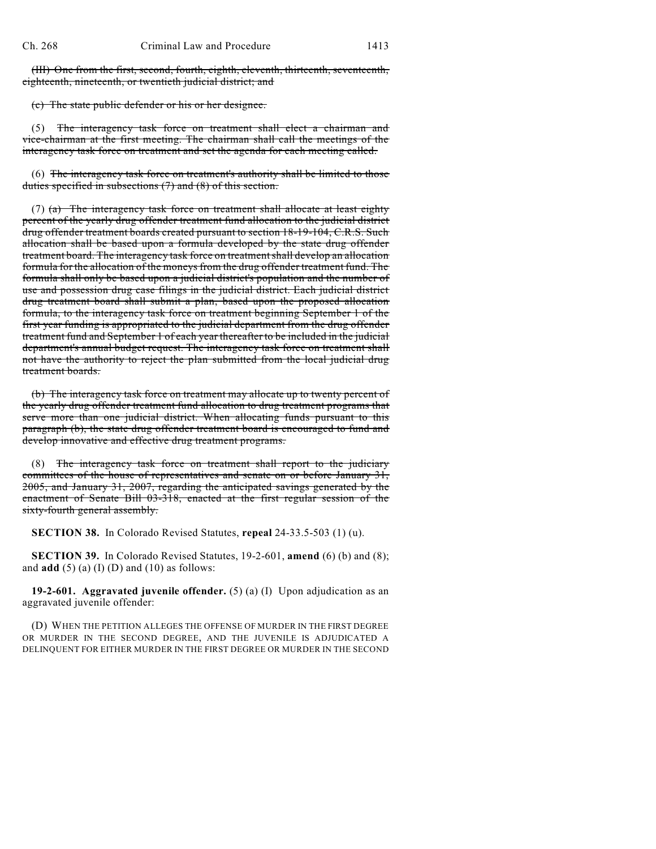(III) One from the first, second, fourth, eighth, eleventh, thirteenth, seventeenth, eighteenth, nineteenth, or twentieth judicial district; and

(c) The state public defender or his or her designee.

(5) The interagency task force on treatment shall elect a chairman and vice-chairman at the first meeting. The chairman shall call the meetings of the interagency task force on treatment and set the agenda for each meeting called.

(6) The interagency task force on treatment's authority shall be limited to those duties specified in subsections (7) and (8) of this section.

(7)  $(a)$  The interagency task force on treatment shall allocate at least eighty percent of the yearly drug offender treatment fund allocation to the judicial district drug offender treatment boards created pursuant to section 18-19-104, C.R.S. Such allocation shall be based upon a formula developed by the state drug offender treatment board. The interagency task force on treatmentshall develop an allocation formula for the allocation of the moneys from the drug offender treatment fund. The formula shall only be based upon a judicial district's population and the number of use and possession drug case filings in the judicial district. Each judicial district drug treatment board shall submit a plan, based upon the proposed allocation formula, to the interagency task force on treatment beginning September 1 of the first year funding is appropriated to the judicial department from the drug offender treatment fund and September 1 of each year thereafter to be included in the judicial department's annual budget request. The interagency task force on treatment shall not have the authority to reject the plan submitted from the local judicial drug treatment boards.

(b) The interagency task force on treatment may allocate up to twenty percent of the yearly drug offender treatment fund allocation to drug treatment programs that serve more than one judicial district. When allocating funds pursuant to this paragraph (b), the state drug offender treatment board is encouraged to fund and develop innovative and effective drug treatment programs.

(8) The interagency task force on treatment shall report to the judiciary committees of the house of representatives and senate on or before January 31, 2005, and January 31, 2007, regarding the anticipated savings generated by the enactment of Senate Bill 03-318, enacted at the first regular session of the sixty-fourth general assembly.

**SECTION 38.** In Colorado Revised Statutes, **repeal** 24-33.5-503 (1) (u).

**SECTION 39.** In Colorado Revised Statutes, 19-2-601, **amend** (6) (b) and (8); and  $\mathbf{add}(\mathbf{5})$  (a) (I) (D) and (10) as follows:

**19-2-601. Aggravated juvenile offender.** (5) (a) (I) Upon adjudication as an aggravated juvenile offender:

(D) WHEN THE PETITION ALLEGES THE OFFENSE OF MURDER IN THE FIRST DEGREE OR MURDER IN THE SECOND DEGREE, AND THE JUVENILE IS ADJUDICATED A DELINQUENT FOR EITHER MURDER IN THE FIRST DEGREE OR MURDER IN THE SECOND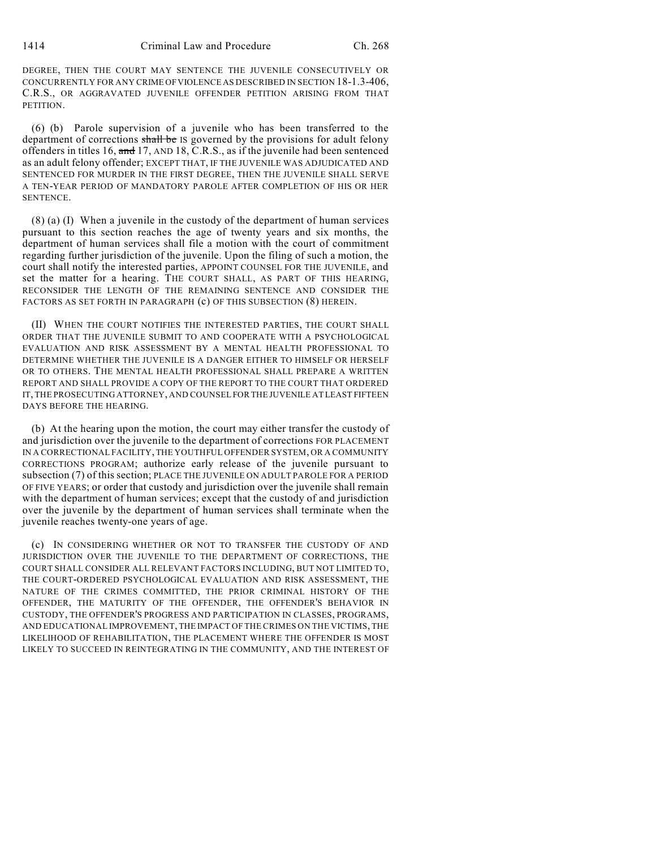DEGREE, THEN THE COURT MAY SENTENCE THE JUVENILE CONSECUTIVELY OR CONCURRENTLY FOR ANY CRIME OFVIOLENCE AS DESCRIBED IN SECTION 18-1.3-406, C.R.S., OR AGGRAVATED JUVENILE OFFENDER PETITION ARISING FROM THAT PETITION.

(6) (b) Parole supervision of a juvenile who has been transferred to the department of corrections shall be IS governed by the provisions for adult felony offenders in titles 16, and 17, AND 18, C.R.S., as if the juvenile had been sentenced as an adult felony offender; EXCEPT THAT, IF THE JUVENILE WAS ADJUDICATED AND SENTENCED FOR MURDER IN THE FIRST DEGREE, THEN THE JUVENILE SHALL SERVE A TEN-YEAR PERIOD OF MANDATORY PAROLE AFTER COMPLETION OF HIS OR HER SENTENCE.

(8) (a) (I) When a juvenile in the custody of the department of human services pursuant to this section reaches the age of twenty years and six months, the department of human services shall file a motion with the court of commitment regarding further jurisdiction of the juvenile. Upon the filing of such a motion, the court shall notify the interested parties, APPOINT COUNSEL FOR THE JUVENILE, and set the matter for a hearing. THE COURT SHALL, AS PART OF THIS HEARING, RECONSIDER THE LENGTH OF THE REMAINING SENTENCE AND CONSIDER THE FACTORS AS SET FORTH IN PARAGRAPH (c) OF THIS SUBSECTION (8) HEREIN.

(II) WHEN THE COURT NOTIFIES THE INTERESTED PARTIES, THE COURT SHALL ORDER THAT THE JUVENILE SUBMIT TO AND COOPERATE WITH A PSYCHOLOGICAL EVALUATION AND RISK ASSESSMENT BY A MENTAL HEALTH PROFESSIONAL TO DETERMINE WHETHER THE JUVENILE IS A DANGER EITHER TO HIMSELF OR HERSELF OR TO OTHERS. THE MENTAL HEALTH PROFESSIONAL SHALL PREPARE A WRITTEN REPORT AND SHALL PROVIDE A COPY OF THE REPORT TO THE COURT THAT ORDERED IT, THE PROSECUTING ATTORNEY, AND COUNSEL FOR THE JUVENILE AT LEAST FIFTEEN DAYS BEFORE THE HEARING.

(b) At the hearing upon the motion, the court may either transfer the custody of and jurisdiction over the juvenile to the department of corrections FOR PLACEMENT IN A CORRECTIONAL FACILITY, THE YOUTHFUL OFFENDER SYSTEM, OR A COMMUNITY CORRECTIONS PROGRAM; authorize early release of the juvenile pursuant to subsection (7) of this section; PLACE THE JUVENILE ON ADULT PAROLE FOR A PERIOD OF FIVE YEARS; or order that custody and jurisdiction over the juvenile shall remain with the department of human services; except that the custody of and jurisdiction over the juvenile by the department of human services shall terminate when the juvenile reaches twenty-one years of age.

(c) IN CONSIDERING WHETHER OR NOT TO TRANSFER THE CUSTODY OF AND JURISDICTION OVER THE JUVENILE TO THE DEPARTMENT OF CORRECTIONS, THE COURT SHALL CONSIDER ALL RELEVANT FACTORS INCLUDING, BUT NOT LIMITED TO, THE COURT-ORDERED PSYCHOLOGICAL EVALUATION AND RISK ASSESSMENT, THE NATURE OF THE CRIMES COMMITTED, THE PRIOR CRIMINAL HISTORY OF THE OFFENDER, THE MATURITY OF THE OFFENDER, THE OFFENDER'S BEHAVIOR IN CUSTODY, THE OFFENDER'S PROGRESS AND PARTICIPATION IN CLASSES, PROGRAMS, AND EDUCATIONAL IMPROVEMENT, THE IMPACT OF THE CRIMES ON THE VICTIMS, THE LIKELIHOOD OF REHABILITATION, THE PLACEMENT WHERE THE OFFENDER IS MOST LIKELY TO SUCCEED IN REINTEGRATING IN THE COMMUNITY, AND THE INTEREST OF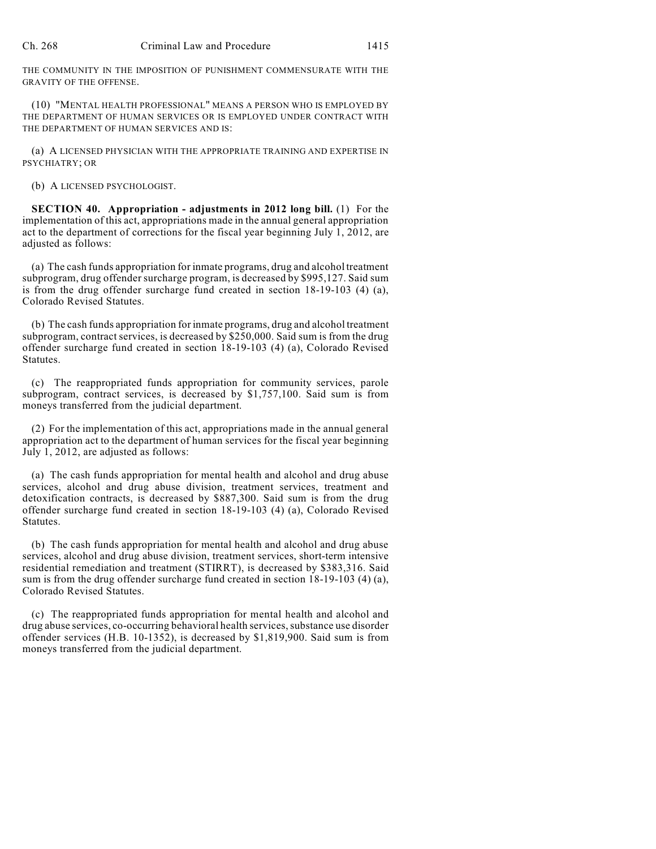THE COMMUNITY IN THE IMPOSITION OF PUNISHMENT COMMENSURATE WITH THE GRAVITY OF THE OFFENSE.

(10) "MENTAL HEALTH PROFESSIONAL" MEANS A PERSON WHO IS EMPLOYED BY THE DEPARTMENT OF HUMAN SERVICES OR IS EMPLOYED UNDER CONTRACT WITH THE DEPARTMENT OF HUMAN SERVICES AND IS:

(a) A LICENSED PHYSICIAN WITH THE APPROPRIATE TRAINING AND EXPERTISE IN PSYCHIATRY; OR

(b) A LICENSED PSYCHOLOGIST.

**SECTION 40. Appropriation - adjustments in 2012 long bill.** (1) For the implementation of this act, appropriations made in the annual general appropriation act to the department of corrections for the fiscal year beginning July 1, 2012, are adjusted as follows:

(a) The cash funds appropriation for inmate programs, drug and alcohol treatment subprogram, drug offender surcharge program, is decreased by \$995,127. Said sum is from the drug offender surcharge fund created in section 18-19-103 (4) (a), Colorado Revised Statutes.

(b) The cash funds appropriation for inmate programs, drug and alcohol treatment subprogram, contract services, is decreased by \$250,000. Said sum is from the drug offender surcharge fund created in section 18-19-103 (4) (a), Colorado Revised Statutes.

(c) The reappropriated funds appropriation for community services, parole subprogram, contract services, is decreased by \$1,757,100. Said sum is from moneys transferred from the judicial department.

(2) For the implementation of this act, appropriations made in the annual general appropriation act to the department of human services for the fiscal year beginning July 1, 2012, are adjusted as follows:

(a) The cash funds appropriation for mental health and alcohol and drug abuse services, alcohol and drug abuse division, treatment services, treatment and detoxification contracts, is decreased by \$887,300. Said sum is from the drug offender surcharge fund created in section 18-19-103 (4) (a), Colorado Revised Statutes.

(b) The cash funds appropriation for mental health and alcohol and drug abuse services, alcohol and drug abuse division, treatment services, short-term intensive residential remediation and treatment (STIRRT), is decreased by \$383,316. Said sum is from the drug offender surcharge fund created in section 18-19-103 (4) (a), Colorado Revised Statutes.

(c) The reappropriated funds appropriation for mental health and alcohol and drug abuse services, co-occurring behavioral health services, substance use disorder offender services (H.B. 10-1352), is decreased by \$1,819,900. Said sum is from moneys transferred from the judicial department.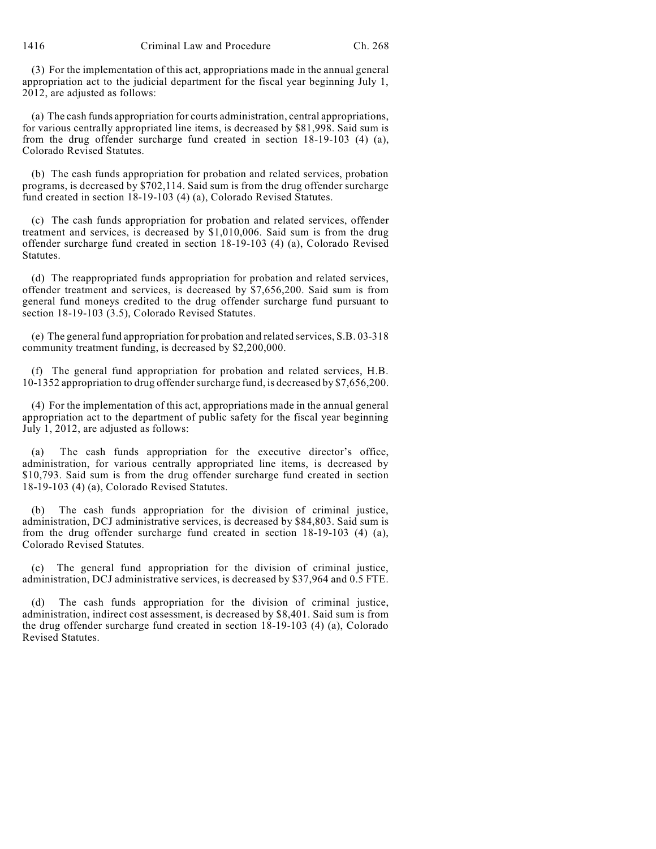1416 Criminal Law and Procedure Ch. 268

(3) For the implementation of this act, appropriations made in the annual general appropriation act to the judicial department for the fiscal year beginning July 1, 2012, are adjusted as follows:

(a) The cash funds appropriation for courts administration, central appropriations, for various centrally appropriated line items, is decreased by \$81,998. Said sum is from the drug offender surcharge fund created in section 18-19-103 (4) (a), Colorado Revised Statutes.

(b) The cash funds appropriation for probation and related services, probation programs, is decreased by \$702,114. Said sum is from the drug offender surcharge fund created in section 18-19-103 (4) (a), Colorado Revised Statutes.

(c) The cash funds appropriation for probation and related services, offender treatment and services, is decreased by \$1,010,006. Said sum is from the drug offender surcharge fund created in section 18-19-103 (4) (a), Colorado Revised Statutes.

(d) The reappropriated funds appropriation for probation and related services, offender treatment and services, is decreased by \$7,656,200. Said sum is from general fund moneys credited to the drug offender surcharge fund pursuant to section 18-19-103 (3.5), Colorado Revised Statutes.

(e) The general fund appropriation for probation and related services, S.B. 03-318 community treatment funding, is decreased by \$2,200,000.

(f) The general fund appropriation for probation and related services, H.B. 10-1352 appropriation to drug offender surcharge fund, is decreased by \$7,656,200.

(4) For the implementation of this act, appropriations made in the annual general appropriation act to the department of public safety for the fiscal year beginning July 1, 2012, are adjusted as follows:

The cash funds appropriation for the executive director's office, administration, for various centrally appropriated line items, is decreased by \$10,793. Said sum is from the drug offender surcharge fund created in section 18-19-103 (4) (a), Colorado Revised Statutes.

(b) The cash funds appropriation for the division of criminal justice, administration, DCJ administrative services, is decreased by \$84,803. Said sum is from the drug offender surcharge fund created in section 18-19-103 (4) (a), Colorado Revised Statutes.

(c) The general fund appropriation for the division of criminal justice, administration, DCJ administrative services, is decreased by \$37,964 and 0.5 FTE.

The cash funds appropriation for the division of criminal justice, administration, indirect cost assessment, is decreased by \$8,401. Said sum is from the drug offender surcharge fund created in section 18-19-103 (4) (a), Colorado Revised Statutes.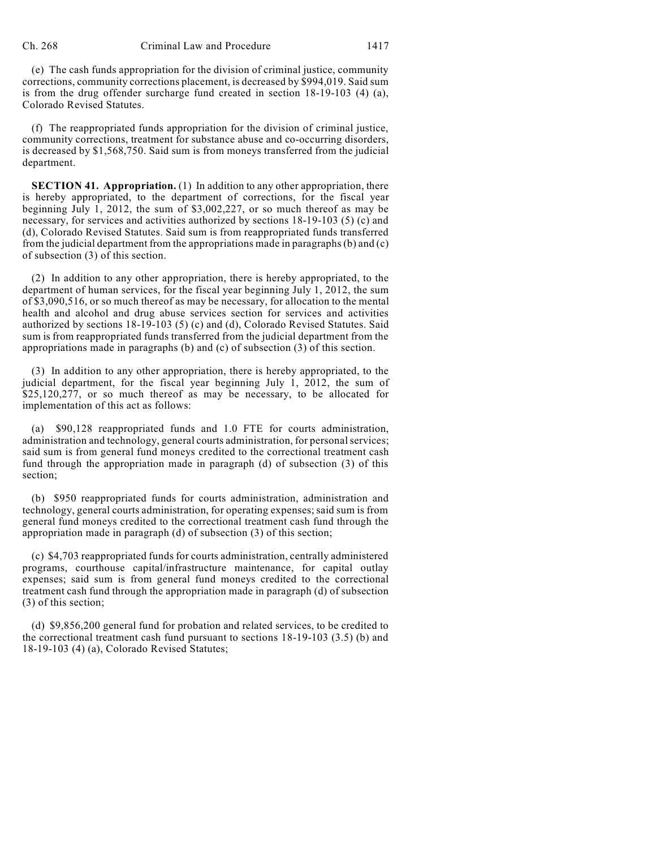(e) The cash funds appropriation for the division of criminal justice, community corrections, community corrections placement, is decreased by \$994,019. Said sum is from the drug offender surcharge fund created in section 18-19-103 (4) (a), Colorado Revised Statutes.

(f) The reappropriated funds appropriation for the division of criminal justice, community corrections, treatment for substance abuse and co-occurring disorders, is decreased by \$1,568,750. Said sum is from moneys transferred from the judicial department.

**SECTION 41. Appropriation.** (1) In addition to any other appropriation, there is hereby appropriated, to the department of corrections, for the fiscal year beginning July 1, 2012, the sum of \$3,002,227, or so much thereof as may be necessary, for services and activities authorized by sections 18-19-103 (5) (c) and (d), Colorado Revised Statutes. Said sum is from reappropriated funds transferred from the judicial department from the appropriations made in paragraphs  $(b)$  and  $(c)$ of subsection (3) of this section.

(2) In addition to any other appropriation, there is hereby appropriated, to the department of human services, for the fiscal year beginning July 1, 2012, the sum of \$3,090,516, or so much thereof as may be necessary, for allocation to the mental health and alcohol and drug abuse services section for services and activities authorized by sections 18-19-103 (5) (c) and (d), Colorado Revised Statutes. Said sum is from reappropriated funds transferred from the judicial department from the appropriations made in paragraphs (b) and (c) of subsection (3) of this section.

(3) In addition to any other appropriation, there is hereby appropriated, to the judicial department, for the fiscal year beginning July 1, 2012, the sum of \$25,120,277, or so much thereof as may be necessary, to be allocated for implementation of this act as follows:

(a) \$90,128 reappropriated funds and 1.0 FTE for courts administration, administration and technology, general courts administration, for personal services; said sum is from general fund moneys credited to the correctional treatment cash fund through the appropriation made in paragraph (d) of subsection (3) of this section;

(b) \$950 reappropriated funds for courts administration, administration and technology, general courts administration, for operating expenses; said sum is from general fund moneys credited to the correctional treatment cash fund through the appropriation made in paragraph (d) of subsection (3) of this section;

(c) \$4,703 reappropriated funds for courts administration, centrally administered programs, courthouse capital/infrastructure maintenance, for capital outlay expenses; said sum is from general fund moneys credited to the correctional treatment cash fund through the appropriation made in paragraph (d) of subsection (3) of this section;

(d) \$9,856,200 general fund for probation and related services, to be credited to the correctional treatment cash fund pursuant to sections 18-19-103 (3.5) (b) and 18-19-103 (4) (a), Colorado Revised Statutes;